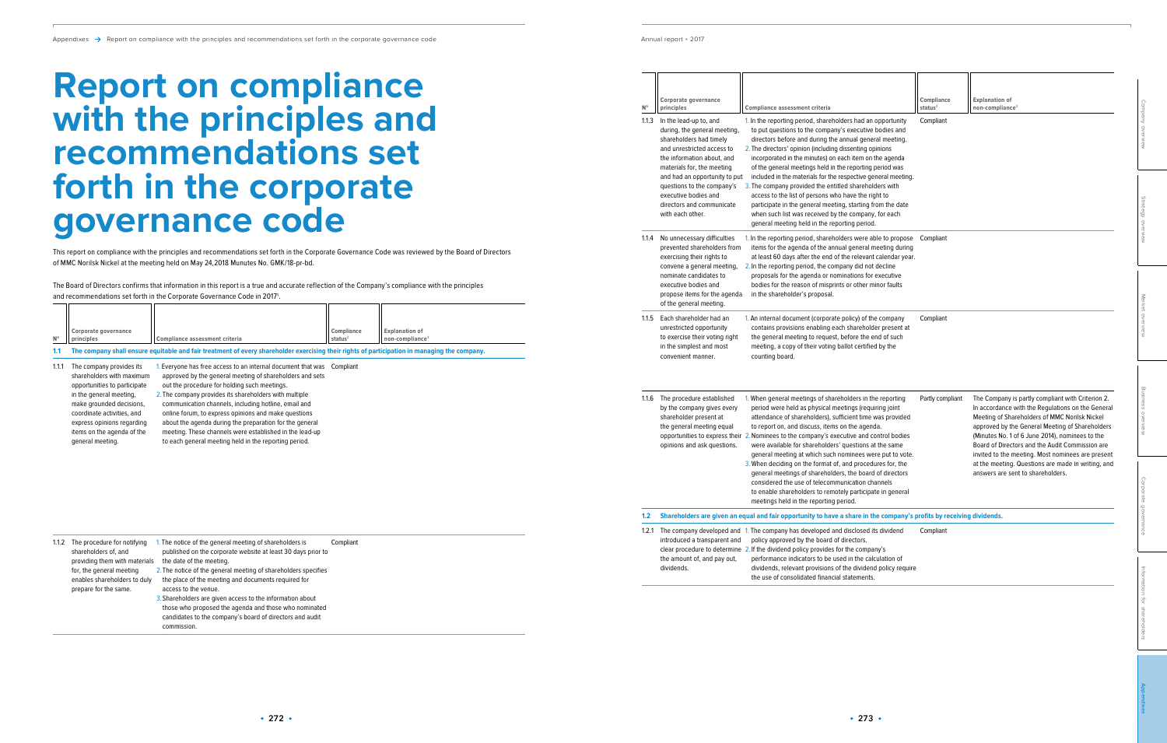$\mathbb{N}^{\circ}$ 

 $11.3$ 

 $1.1.4$ 

 $1.2.1$ 

| $\mathsf{N}^\circ$ | Corporate governance<br>principles                                                                                                                                                                                                  | <b>Compliance assessment criteria</b>                                                                                                                                                                                                                                                                                                                                                                                                                 | Compliance<br>status <sup>2</sup> | <b>Explanation of</b><br>non-compliance <sup>3</sup>                                                                                                                                                                                                                                                                                                                  |                              |
|--------------------|-------------------------------------------------------------------------------------------------------------------------------------------------------------------------------------------------------------------------------------|-------------------------------------------------------------------------------------------------------------------------------------------------------------------------------------------------------------------------------------------------------------------------------------------------------------------------------------------------------------------------------------------------------------------------------------------------------|-----------------------------------|-----------------------------------------------------------------------------------------------------------------------------------------------------------------------------------------------------------------------------------------------------------------------------------------------------------------------------------------------------------------------|------------------------------|
| 1.1.3              | In the lead-up to, and<br>during, the general meeting,<br>shareholders had timely<br>and unrestricted access to<br>the information about, and<br>materials for, the meeting                                                         | 1. In the reporting period, shareholders had an opportunity<br>to put questions to the company's executive bodies and<br>directors before and during the annual general meeting.<br>2. The directors' opinion (including dissenting opinions<br>incorporated in the minutes) on each item on the agenda<br>of the general meetings held in the reporting period was                                                                                   | Compliant                         |                                                                                                                                                                                                                                                                                                                                                                       | Company overview             |
|                    | and had an opportunity to put<br>questions to the company's<br>executive bodies and<br>directors and communicate<br>with each other.                                                                                                | included in the materials for the respective general meeting.<br>3. The company provided the entitled shareholders with<br>access to the list of persons who have the right to<br>participate in the general meeting, starting from the date<br>when such list was received by the company, for each<br>general meeting held in the reporting period.                                                                                                 |                                   |                                                                                                                                                                                                                                                                                                                                                                       | Strategy overview            |
| 1.1.4              | No unnecessary difficulties<br>prevented shareholders from<br>exercising their rights to<br>convene a general meeting,<br>nominate candidates to<br>executive bodies and<br>propose items for the agenda<br>of the general meeting. | 1. In the reporting period, shareholders were able to propose<br>items for the agenda of the annual general meeting during<br>at least 60 days after the end of the relevant calendar year.<br>2. In the reporting period, the company did not decline<br>proposals for the agenda or nominations for executive<br>bodies for the reason of misprints or other minor faults<br>in the shareholder's proposal.                                         | Compliant                         |                                                                                                                                                                                                                                                                                                                                                                       |                              |
| 1.1.5              | Each shareholder had an<br>unrestricted opportunity<br>to exercise their voting right<br>in the simplest and most<br>convenient manner.                                                                                             | 1. An internal document (corporate policy) of the company<br>contains provisions enabling each shareholder present at<br>the general meeting to request, before the end of such<br>meeting, a copy of their voting ballot certified by the<br>counting board.                                                                                                                                                                                         | Compliant                         |                                                                                                                                                                                                                                                                                                                                                                       | Market overview              |
|                    | 1.1.6 The procedure established<br>by the company gives every<br>shareholder present at<br>the general meeting equal<br>opinions and ask questions.                                                                                 | 1. When general meetings of shareholders in the reporting<br>period were held as physical meetings (requiring joint<br>attendance of shareholders), sufficient time was provided<br>to report on, and discuss, items on the agenda.<br>opportunities to express their 2. Nominees to the company's executive and control bodies<br>were available for shareholders' questions at the same<br>general meeting at which such nominees were put to vote. | Partly compliant                  | The Company is partly compliant with Criterion 2.<br>In accordance with the Regulations on the General<br>Meeting of Shareholders of MMC Norilsk Nickel<br>approved by the General Meeting of Shareholders<br>(Minutes No. 1 of 6 June 2014), nominees to the<br>Board of Directors and the Audit Commission are<br>invited to the meeting. Most nominees are present | Business overview            |
|                    |                                                                                                                                                                                                                                     | 3. When deciding on the format of, and procedures for, the<br>general meetings of shareholders, the board of directors<br>considered the use of telecommunication channels<br>to enable shareholders to remotely participate in general<br>meetings held in the reporting period.                                                                                                                                                                     |                                   | at the meeting. Questions are made in writing, and<br>answers are sent to shareholders.                                                                                                                                                                                                                                                                               | Cor<br>porate governance     |
| 1.2                |                                                                                                                                                                                                                                     | Shareholders are given an equal and fair opportunity to have a share in the company's profits by receiving dividends.                                                                                                                                                                                                                                                                                                                                 |                                   |                                                                                                                                                                                                                                                                                                                                                                       |                              |
| 1.2.1              | introduced a transparent and                                                                                                                                                                                                        | The company developed and 1. The company has developed and disclosed its dividend<br>policy approved by the board of directors.<br>clear procedure to determine 2. If the dividend policy provides for the company's                                                                                                                                                                                                                                  | Compliant                         |                                                                                                                                                                                                                                                                                                                                                                       |                              |
|                    | the amount of, and pay out,<br>dividends.                                                                                                                                                                                           | performance indicators to be used in the calculation of<br>dividends, relevant provisions of the dividend policy require<br>the use of consolidated financial statements.                                                                                                                                                                                                                                                                             |                                   |                                                                                                                                                                                                                                                                                                                                                                       |                              |
|                    |                                                                                                                                                                                                                                     |                                                                                                                                                                                                                                                                                                                                                                                                                                                       |                                   |                                                                                                                                                                                                                                                                                                                                                                       | Information for shareholders |

| ernance<br>to, and<br>neral meeting,<br>had timely<br>ed access to<br>n about, and<br>the meeting | Compliance assessment criteria<br>1. In the reporting period, shareholders had an opportunity<br>to put questions to the company's executive bodies and<br>directors before and during the annual general meeting.<br>2. The directors' opinion (including dissenting opinions<br>incorporated in the minutes) on each item on the agenda<br>of the general meetings held in the reporting period was                                   | Compliance<br>status <sup>2</sup><br>Compliant | <b>Explanation of</b><br>non-compliance <sup>3</sup>                                                                                                                                                                                                                                                                                                                  | Company overview  |
|---------------------------------------------------------------------------------------------------|-----------------------------------------------------------------------------------------------------------------------------------------------------------------------------------------------------------------------------------------------------------------------------------------------------------------------------------------------------------------------------------------------------------------------------------------|------------------------------------------------|-----------------------------------------------------------------------------------------------------------------------------------------------------------------------------------------------------------------------------------------------------------------------------------------------------------------------------------------------------------------------|-------------------|
| portunity to put<br>he company's<br>lies and<br>communicate<br>er.                                | included in the materials for the respective general meeting.<br>3. The company provided the entitled shareholders with<br>access to the list of persons who have the right to<br>participate in the general meeting, starting from the date<br>when such list was received by the company, for each<br>general meeting held in the reporting period.                                                                                   |                                                |                                                                                                                                                                                                                                                                                                                                                                       | Strategy overview |
| ıry difficulties<br>areholders from<br>ir rights to!<br>neral meeting,                            | 1. In the reporting period, shareholders were able to propose<br>items for the agenda of the annual general meeting during<br>at least 60 days after the end of the relevant calendar year.<br>2. In the reporting period, the company did not decline                                                                                                                                                                                  | Compliant                                      |                                                                                                                                                                                                                                                                                                                                                                       |                   |
| didates to<br>lies and<br>s for the agenda<br>l meeting.                                          | proposals for the agenda or nominations for executive<br>bodies for the reason of misprints or other minor faults<br>in the shareholder's proposal.                                                                                                                                                                                                                                                                                     |                                                |                                                                                                                                                                                                                                                                                                                                                                       |                   |
| lder had an<br>pportunity<br>eir voting right<br>t and most<br>anner.                             | 1. An internal document (corporate policy) of the company<br>contains provisions enabling each shareholder present at<br>the general meeting to request, before the end of such<br>meeting, a copy of their voting ballot certified by the<br>counting board.                                                                                                                                                                           | Compliant                                      |                                                                                                                                                                                                                                                                                                                                                                       | Market overview   |
| e established<br>ny gives every<br>resent at<br>eeting equal<br>ask questions.                    | 1. When general meetings of shareholders in the reporting<br>period were held as physical meetings (requiring joint<br>attendance of shareholders), sufficient time was provided<br>to report on, and discuss, items on the agenda.<br>to express their 2. Nominees to the company's executive and control bodies<br>were available for shareholders' questions at the same<br>general meeting at which such nominees were put to vote. | Partly compliant                               | The Company is partly compliant with Criterion 2.<br>In accordance with the Regulations on the General<br>Meeting of Shareholders of MMC Norilsk Nickel<br>approved by the General Meeting of Shareholders<br>(Minutes No. 1 of 6 June 2014), nominees to the<br>Board of Directors and the Audit Commission are<br>invited to the meeting. Most nominees are present | Business overview |
|                                                                                                   | 3. When deciding on the format of, and procedures for, the<br>general meetings of shareholders, the board of directors<br>considered the use of telecommunication channels<br>to enable shareholders to remotely participate in general<br>meetings held in the reporting period.                                                                                                                                                       |                                                | at the meeting. Questions are made in writing, and<br>answers are sent to shareholders.                                                                                                                                                                                                                                                                               | Cor<br>porate     |
|                                                                                                   | are given an equal and fair opportunity to have a share in the company's profits by receiving dividends.                                                                                                                                                                                                                                                                                                                                |                                                |                                                                                                                                                                                                                                                                                                                                                                       | долеглалсе        |
| ransparent and                                                                                    | developed and 1. The company has developed and disclosed its dividend<br>policy approved by the board of directors.<br>re to determine 2. If the dividend policy provides for the company's                                                                                                                                                                                                                                             | Compliant                                      |                                                                                                                                                                                                                                                                                                                                                                       |                   |
| f, and pay out,                                                                                   | performance indicators to be used in the calculation of<br>dividends, relevant provisions of the dividend policy require<br>the use of consolidated financial statements.                                                                                                                                                                                                                                                               |                                                |                                                                                                                                                                                                                                                                                                                                                                       | Informat          |
|                                                                                                   |                                                                                                                                                                                                                                                                                                                                                                                                                                         |                                                |                                                                                                                                                                                                                                                                                                                                                                       |                   |

|             |                                                                                                                                                                                                                                                            |                                                                                                                                                                                                                                                                                                                                                                                                                                                                                                                                            |                                   |                                                      |  | or the general meeting.                                                                                                                                                                                      |                                                                                                                                                                                                                                                                     |
|-------------|------------------------------------------------------------------------------------------------------------------------------------------------------------------------------------------------------------------------------------------------------------|--------------------------------------------------------------------------------------------------------------------------------------------------------------------------------------------------------------------------------------------------------------------------------------------------------------------------------------------------------------------------------------------------------------------------------------------------------------------------------------------------------------------------------------------|-----------------------------------|------------------------------------------------------|--|--------------------------------------------------------------------------------------------------------------------------------------------------------------------------------------------------------------|---------------------------------------------------------------------------------------------------------------------------------------------------------------------------------------------------------------------------------------------------------------------|
| $N^{\circ}$ | Corporate governance<br>principles                                                                                                                                                                                                                         | Compliance assessment criteria<br>The company shall ensure equitable and fair treatment of every shareholder exercising their rights of participation in managing the company.                                                                                                                                                                                                                                                                                                                                                             | Compliance<br>status <sup>2</sup> | <b>Explanation of</b><br>non-compliance <sup>3</sup> |  | 1.1.5 Each shareholder had an<br>unrestricted opportunity<br>to exercise their voting right<br>in the simplest and most<br>convenient manner.                                                                | . An internal documen<br>contains provisions<br>the general meeting<br>meeting, a copy of th<br>counting board.                                                                                                                                                     |
|             | The company provides its<br>shareholders with maximum<br>opportunities to participate<br>in the general meeting,<br>make grounded decisions,<br>coordinate activities, and<br>express opinions regarding<br>items on the agenda of the<br>general meeting. | . Everyone has free access to an internal document that was Compliant<br>approved by the general meeting of shareholders and sets<br>out the procedure for holding such meetings.<br>2. The company provides its shareholders with multiple<br>communication channels, including hotline, email and<br>online forum, to express opinions and make questions<br>about the agenda during the preparation for the general<br>meeting. These channels were established in the lead-up<br>to each general meeting held in the reporting period. |                                   |                                                      |  | 1.1.6 The procedure established<br>by the company gives every<br>shareholder present at<br>the general meeting equal<br>opportunities to express their 2. Nominees to the cor<br>opinions and ask questions. | . When general meeti<br>period were held as<br>attendance of share<br>to report on, and dis<br>were available for sh<br>general meeting at y<br>3. When deciding on the<br>general meetings of<br>considered the use<br>to enable sharehold<br>meetings held in the |

## **Report on compliance with the principles and recommendations set forth in the corporate governance code**

This report on compliance with the principles and recommendations set forth in the Corporate Governance Code was reviewed by the Board of Directors of MMC Norilsk Nickel at the meeting held on May 24,2018 Munutes No. GMK/18-pr-bd.

The Board of Directors confirms that information in this report is a true and accurate reflection of the Company's compliance with the principles and recommendations set forth in the Corporate Governance Code in 2017**<sup>1</sup>** .

| 1.1.2 | The procedure for notifying<br>shareholders of, and<br>providing them with materials | 1. The notice of the general meeting of shareholders is<br>published on the corporate website at least 30 days prior to<br>the date of the meeting. | Compliant |
|-------|--------------------------------------------------------------------------------------|-----------------------------------------------------------------------------------------------------------------------------------------------------|-----------|
|       | for, the general meeting                                                             | 2. The notice of the general meeting of shareholders specifies                                                                                      |           |
|       | enables shareholders to duly<br>prepare for the same.                                | the place of the meeting and documents required for<br>access to the venue.                                                                         |           |
|       |                                                                                      | 3. Shareholders are given access to the information about                                                                                           |           |
|       |                                                                                      | those who proposed the agenda and those who nominated                                                                                               |           |
|       |                                                                                      | candidates to the company's board of directors and audit                                                                                            |           |
|       |                                                                                      | commission.                                                                                                                                         |           |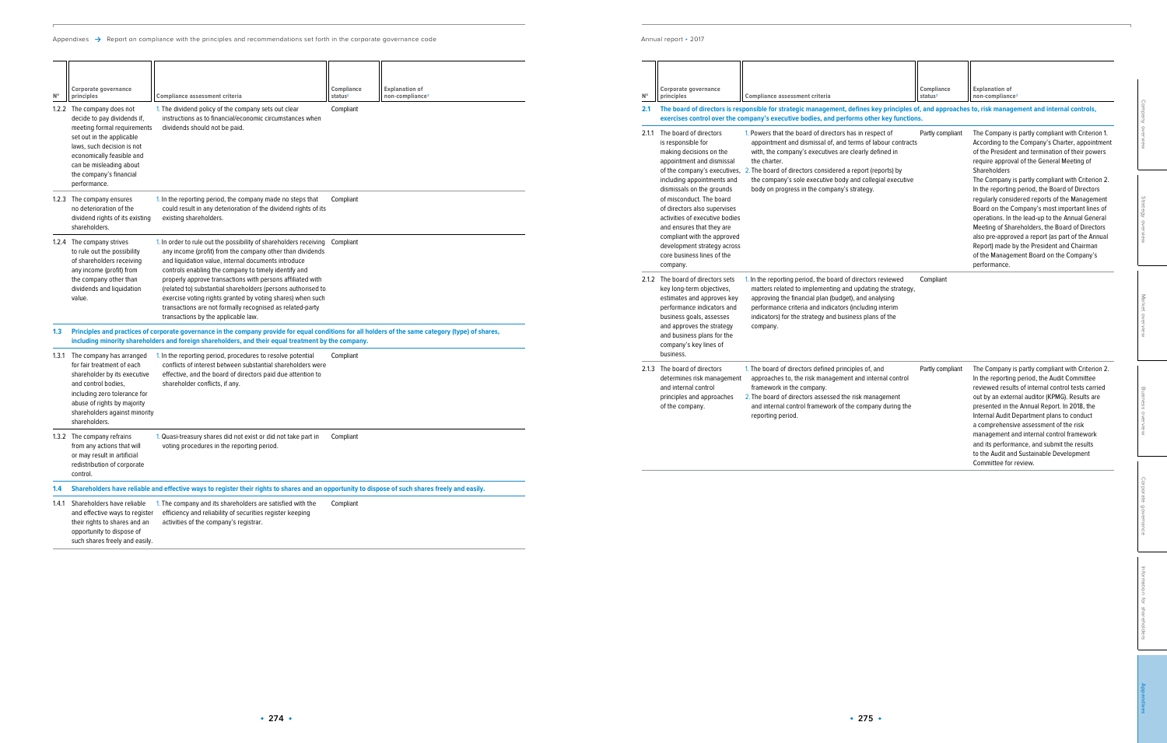Appendixes  $\rightarrow$  Report on compliance with the principles and recommendations set forth in the corporate governance code

Annual report • 2017

| <b>Explanation of</b><br>Corporate governance<br>Compliance<br>$\mathsf{N}^\mathsf{o}$<br>non-compliance <sup>3</sup><br>principles<br>Compliance assessment criteria<br>status <sup>2</sup>                                                                                                                                                                                                                                                                                     | <b>Explanation of</b><br>Corporate governance<br>Compliance<br>$\mathbb{N}^{\circ}$<br>principles<br>Compliance assessment criteria<br>status <sup>2</sup><br>non-compliance <sup>3</sup>                                                                                                                                                                                                                                                                                                                                                                                                                                                                                                                                                                                                                                                                                                                                             |
|----------------------------------------------------------------------------------------------------------------------------------------------------------------------------------------------------------------------------------------------------------------------------------------------------------------------------------------------------------------------------------------------------------------------------------------------------------------------------------|---------------------------------------------------------------------------------------------------------------------------------------------------------------------------------------------------------------------------------------------------------------------------------------------------------------------------------------------------------------------------------------------------------------------------------------------------------------------------------------------------------------------------------------------------------------------------------------------------------------------------------------------------------------------------------------------------------------------------------------------------------------------------------------------------------------------------------------------------------------------------------------------------------------------------------------|
| Compliant<br>1.2.2 The company does not<br>1. The dividend policy of the company sets out clear<br>instructions as to financial/economic circumstances when<br>decide to pay dividends if,                                                                                                                                                                                                                                                                                       | 2.1 The board of directors is responsible for strategic management, defines key principles of, and approaches to, risk management and internal controls,<br>exercises control over the company's executive bodies, and performs other key functions.                                                                                                                                                                                                                                                                                                                                                                                                                                                                                                                                                                                                                                                                                  |
| meeting formal requirements<br>dividends should not be paid.<br>set out in the applicable<br>laws, such decision is not<br>economically feasible and<br>can be misleading about<br>the company's financial<br>performance.                                                                                                                                                                                                                                                       | 2.1.1 The board of directors<br>1. Powers that the board of directors has in respect of<br>The Company is partly compliant with Criterion 1.<br>Partly compliant<br>is responsible for<br>appointment and dismissal of, and terms of labour contracts<br>According to the Company's Charter, appointment<br>making decisions on the<br>with, the company's executives are clearly defined in<br>of the President and termination of their powers<br>appointment and dismissal<br>require approval of the General Meeting of<br>the charter.<br>of the company's executives, 2. The board of directors considered a report (reports) by<br>Shareholders<br>including appointments and<br>the company's sole executive body and collegial executive<br>The Company is partly compliant with Criterion 2.<br>dismissals on the grounds<br>body on progress in the company's strategy.<br>In the reporting period, the Board of Directors |
| 1.2.3 The company ensures<br>1. In the reporting period, the company made no steps that<br>Compliant<br>no deterioration of the<br>could result in any deterioration of the dividend rights of its<br>dividend rights of its existing<br>existing shareholders.<br>shareholders.                                                                                                                                                                                                 | of misconduct. The board<br>regularly considered reports of the Management<br>of directors also supervises<br>Board on the Company's most important lines of<br>activities of executive bodies<br>operations. In the lead-up to the Annual General<br>and ensures that they are<br>Meeting of Shareholders, the Board of Directors                                                                                                                                                                                                                                                                                                                                                                                                                                                                                                                                                                                                    |
| 1.2.4 The company strives<br>1. In order to rule out the possibility of shareholders receiving Compliant<br>any income (profit) from the company other than dividends<br>to rule out the possibility<br>of shareholders receiving<br>and liquidation value, internal documents introduce<br>any income (profit) from<br>controls enabling the company to timely identify and                                                                                                     | compliant with the approved<br>also pre-approved a report (as part of the Annual<br>Report) made by the President and Chairman<br>development strategy across<br>core business lines of the<br>of the Management Board on the Company's<br>performance.<br>company.                                                                                                                                                                                                                                                                                                                                                                                                                                                                                                                                                                                                                                                                   |
| the company other than<br>properly approve transactions with persons affiliated with<br>dividends and liquidation<br>(related to) substantial shareholders (persons authorised to<br>exercise voting rights granted by voting shares) when such<br>value.<br>transactions are not formally recognised as related-party<br>transactions by the applicable law.                                                                                                                    | 2.1.2 The board of directors sets<br>1. In the reporting period, the board of directors reviewed<br>Compliant<br>key long-term objectives,<br>matters related to implementing and updating the strategy,<br>approving the financial plan (budget), and analysing<br>estimates and approves key<br>performance indicators and<br>performance criteria and indicators (including interim<br>indicators) for the strategy and business plans of the<br>business goals, assesses                                                                                                                                                                                                                                                                                                                                                                                                                                                          |
| 1.3 Principles and practices of corporate governance in the company provide for equal conditions for all holders of the same category (type) of shares,<br>including minority shareholders and foreign shareholders, and their equal treatment by the company                                                                                                                                                                                                                    | and approves the strategy<br>company.<br>and business plans for the<br>company's key lines of                                                                                                                                                                                                                                                                                                                                                                                                                                                                                                                                                                                                                                                                                                                                                                                                                                         |
| 1. In the reporting period, procedures to resolve potential<br>1.3.1 The company has arranged<br>Compliant<br>for fair treatment of each<br>conflicts of interest between substantial shareholders were<br>shareholder by its executive<br>effective, and the board of directors paid due attention to<br>and control bodies,<br>shareholder conflicts, if any.<br>including zero tolerance for<br>abuse of rights by majority<br>shareholders against minority<br>shareholders. | business.<br>2.1.3 The board of directors<br>1. The board of directors defined principles of, and<br>The Company is partly compliant with Criterion 2.<br>Partly compliant<br>approaches to, the risk management and internal control<br>determines risk management<br>In the reporting period, the Audit Committee<br>reviewed results of internal control tests carried<br>and internal control<br>framework in the company.<br>2. The board of directors assessed the risk management<br>out by an external auditor (KPMG). Results are<br>principles and approaches<br>and internal control framework of the company during the<br>presented in the Annual Report. In 2018, the<br>of the company<br>reporting period.<br>Internal Audit Department plans to conduct<br>a comprehensive assessment of the risk                                                                                                                    |
| 1.3.2 The company refrains<br>1. Quasi-treasury shares did not exist or did not take part in<br>Compliant<br>from any actions that will<br>voting procedures in the reporting period.<br>or may result in artificial<br>redistribution of corporate<br>control.                                                                                                                                                                                                                  | management and internal control framework<br>and its performance, and submit the results<br>to the Audit and Sustainable Development<br>Committee for review.                                                                                                                                                                                                                                                                                                                                                                                                                                                                                                                                                                                                                                                                                                                                                                         |
| 1.4 Shareholders have reliable and effective ways to register their rights to shares and an opportunity to dispose of such shares freely and easily.                                                                                                                                                                                                                                                                                                                             |                                                                                                                                                                                                                                                                                                                                                                                                                                                                                                                                                                                                                                                                                                                                                                                                                                                                                                                                       |
| 1.4.1 Shareholders have reliable<br>1. The company and its shareholders are satisfied with the<br>Compliant<br>efficiency and reliability of securities register keeping<br>and effective ways to register<br>their rights to shares and an<br>activities of the company's registrar.<br>opportunity to dispose of                                                                                                                                                               |                                                                                                                                                                                                                                                                                                                                                                                                                                                                                                                                                                                                                                                                                                                                                                                                                                                                                                                                       |

such shares freely and easily.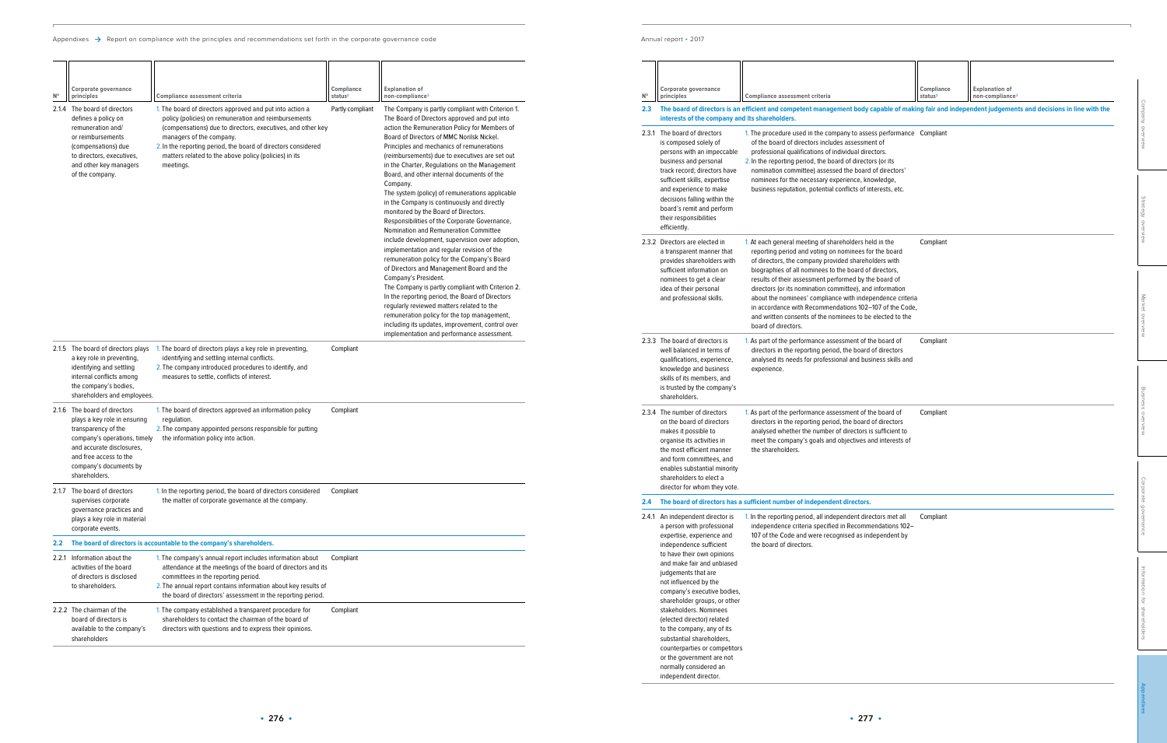|                  | Corporate governance                                                                                                                                                                                                                                                                                                        |                                                                                                                                                                                                                                                                                                                                                                                                                                                                                                                                                                    | Compliance          | <b>Explanation of</b>       |                                       |
|------------------|-----------------------------------------------------------------------------------------------------------------------------------------------------------------------------------------------------------------------------------------------------------------------------------------------------------------------------|--------------------------------------------------------------------------------------------------------------------------------------------------------------------------------------------------------------------------------------------------------------------------------------------------------------------------------------------------------------------------------------------------------------------------------------------------------------------------------------------------------------------------------------------------------------------|---------------------|-----------------------------|---------------------------------------|
| $N^{\circ}$      | principles                                                                                                                                                                                                                                                                                                                  | Compliance assessment criteria                                                                                                                                                                                                                                                                                                                                                                                                                                                                                                                                     | status <sup>2</sup> | non-compliance <sup>3</sup> |                                       |
| $2.3\phantom{0}$ | interests of the company and its shareholders.                                                                                                                                                                                                                                                                              | The board of directors is an efficient and competent management body capable of making fair and independent judgements and decisions in line with the                                                                                                                                                                                                                                                                                                                                                                                                              |                     |                             |                                       |
|                  | 2.3.1 The board of directors<br>is composed solely of<br>persons with an impeccable<br>business and personal<br>track record; directors have<br>sufficient skills, expertise<br>and experience to make<br>decisions falling within the<br>board's remit and perform<br>their responsibilities<br>efficiently.               | 1. The procedure used in the company to assess performance Compliant<br>of the board of directors includes assessment of<br>professional qualifications of individual directors.<br>2. In the reporting period, the board of directors (or its<br>nomination committee) assessed the board of directors'<br>nominees for the necessary experience, knowledge,<br>business reputation, potential conflicts of interests, etc.                                                                                                                                       |                     |                             | Company overview<br>Strategy overview |
|                  | 2.3.2 Directors are elected in<br>a transparent manner that<br>provides shareholders with<br>sufficient information on<br>nominees to get a clear<br>idea of their personal<br>and professional skills.                                                                                                                     | 1. At each general meeting of shareholders held in the<br>reporting period and voting on nominees for the board<br>of directors, the company provided shareholders with<br>biographies of all nominees to the board of directors,<br>results of their assessment performed by the board of<br>directors (or its nomination committee), and information<br>about the nominees' compliance with independence criteria<br>in accordance with Recommendations 102-107 of the Code,<br>and written consents of the nominees to be elected to the<br>board of directors. | Compliant           |                             | Market overview                       |
|                  | 2.3.3 The board of directors is<br>well balanced in terms of<br>qualifications, experience,<br>knowledge and business<br>skills of its members, and<br>is trusted by the company's<br>shareholders.                                                                                                                         | 1. As part of the performance assessment of the board of<br>directors in the reporting period, the board of directors<br>analysed its needs for professional and business skills and<br>experience.                                                                                                                                                                                                                                                                                                                                                                | Compliant           |                             |                                       |
|                  | 2.3.4 The number of directors<br>on the board of directors<br>makes it possible to<br>organise its activities in<br>the most efficient manner<br>and form committees, and<br>enables substantial minority<br>shareholders to elect a                                                                                        | 1. As part of the performance assessment of the board of<br>directors in the reporting period, the board of directors<br>analysed whether the number of directors is sufficient to<br>meet the company's goals and objectives and interests of<br>the shareholders.                                                                                                                                                                                                                                                                                                | Compliant           |                             | Business overview                     |
|                  | director for whom they vote.                                                                                                                                                                                                                                                                                                |                                                                                                                                                                                                                                                                                                                                                                                                                                                                                                                                                                    |                     |                             |                                       |
| 2.4              | 2.4.1 An independent director is<br>a person with professional<br>expertise, experience and<br>independence sufficient                                                                                                                                                                                                      | The board of directors has a sufficient number of independent directors.<br>1. In the reporting period, all independent directors met all<br>independence criteria specified in Recommendations 102-<br>107 of the Code and were recognised as independent by<br>the board of directors.                                                                                                                                                                                                                                                                           | Compliant           |                             | Corporate governance                  |
|                  | to have their own opinions<br>and make fair and unbiased<br>judgements that are<br>not influenced by the<br>company's executive bodies,<br>shareholder groups, or other<br>stakeholders. Nominees<br>(elected director) related<br>to the company, any of its<br>substantial shareholders,<br>counterparties or competitors |                                                                                                                                                                                                                                                                                                                                                                                                                                                                                                                                                                    |                     |                             | Information for shareholders          |
|                  | or the government are not<br>normally considered an<br>independent director.                                                                                                                                                                                                                                                |                                                                                                                                                                                                                                                                                                                                                                                                                                                                                                                                                                    |                     |                             |                                       |

| $N^{\circ}$ | Corporate governance<br>principles                                                                                                                                                                                   | Compliance assessment criteria                                                                                                                                                                                                                                                                                                                     | Compliance<br>status <sup>2</sup> | <b>Explanation of</b><br>non-compliance <sup>3</sup>                                                                                                                                                                                                                                                                                                                                                                                                                                                                                                                                                                                                                                                                                                                                                                                                                                                                                                                                                                                                                                                                                                                     |
|-------------|----------------------------------------------------------------------------------------------------------------------------------------------------------------------------------------------------------------------|----------------------------------------------------------------------------------------------------------------------------------------------------------------------------------------------------------------------------------------------------------------------------------------------------------------------------------------------------|-----------------------------------|--------------------------------------------------------------------------------------------------------------------------------------------------------------------------------------------------------------------------------------------------------------------------------------------------------------------------------------------------------------------------------------------------------------------------------------------------------------------------------------------------------------------------------------------------------------------------------------------------------------------------------------------------------------------------------------------------------------------------------------------------------------------------------------------------------------------------------------------------------------------------------------------------------------------------------------------------------------------------------------------------------------------------------------------------------------------------------------------------------------------------------------------------------------------------|
|             | 2.1.4 The board of directors<br>defines a policy on<br>remuneration and/<br>or reimbursements<br>(compensations) due<br>to directors, executives,<br>and other key managers<br>of the company.                       | 1. The board of directors approved and put into action a<br>policy (policies) on remuneration and reimbursements<br>(compensations) due to directors, executives, and other key<br>managers of the company.<br>2. In the reporting period, the board of directors considered<br>matters related to the above policy (policies) in its<br>meetings. | Partly compliant                  | The Company is partly compliant with Criterion 1.<br>The Board of Directors approved and put into<br>action the Remuneration Policy for Members of<br>Board of Directors of MMC Norilsk Nickel.<br>Principles and mechanics of remunerations<br>(reimbursements) due to executives are set out<br>in the Charter, Regulations on the Management<br>Board, and other internal documents of the<br>Company.<br>The system (policy) of remunerations applicable<br>in the Company is continuously and directly<br>monitored by the Board of Directors.<br>Responsibilities of the Corporate Governance,<br>Nomination and Remuneration Committee<br>include development, supervision over adoption,<br>implementation and regular revision of the<br>remuneration policy for the Company's Board<br>of Directors and Management Board and the<br>Company's President.<br>The Company is partly compliant with Criterion 2.<br>In the reporting period, the Board of Directors<br>regularly reviewed matters related to the<br>remuneration policy for the top management,<br>including its updates, improvement, control over<br>implementation and performance assessment. |
|             | 2.1.5 The board of directors plays<br>a key role in preventing,<br>identifying and settling<br>internal conflicts among<br>the company's bodies,<br>shareholders and employees.                                      | 1. The board of directors plays a key role in preventing,<br>identifying and settling internal conflicts.<br>2. The company introduced procedures to identify, and<br>measures to settle, conflicts of interest.                                                                                                                                   | Compliant                         |                                                                                                                                                                                                                                                                                                                                                                                                                                                                                                                                                                                                                                                                                                                                                                                                                                                                                                                                                                                                                                                                                                                                                                          |
|             | 2.1.6 The board of directors<br>plays a key role in ensuring<br>transparency of the<br>company's operations, timely<br>and accurate disclosures,<br>and free access to the<br>company's documents by<br>shareholders | 1. The board of directors approved an information policy<br>regulation.<br>2. The company appointed persons responsible for putting<br>the information policy into action.                                                                                                                                                                         | Compliant                         |                                                                                                                                                                                                                                                                                                                                                                                                                                                                                                                                                                                                                                                                                                                                                                                                                                                                                                                                                                                                                                                                                                                                                                          |
|             | 2.1.7 The board of directors<br>supervises corporate<br>governance practices and<br>plays a key role in material<br>corporate events.                                                                                | 1. In the reporting period, the board of directors considered<br>the matter of corporate governance at the company.                                                                                                                                                                                                                                | Compliant                         |                                                                                                                                                                                                                                                                                                                                                                                                                                                                                                                                                                                                                                                                                                                                                                                                                                                                                                                                                                                                                                                                                                                                                                          |
| 2.2         |                                                                                                                                                                                                                      | The board of directors is accountable to the company's shareholders.                                                                                                                                                                                                                                                                               |                                   |                                                                                                                                                                                                                                                                                                                                                                                                                                                                                                                                                                                                                                                                                                                                                                                                                                                                                                                                                                                                                                                                                                                                                                          |
| 2.2.1       | Information about the<br>activities of the board<br>of directors is disclosed<br>to shareholders.                                                                                                                    | 1. The company's annual report includes information about<br>attendance at the meetings of the board of directors and its<br>committees in the reporting period.<br>2. The annual report contains information about key results of<br>the board of directors' assessment in the reporting period.                                                  | Compliant                         |                                                                                                                                                                                                                                                                                                                                                                                                                                                                                                                                                                                                                                                                                                                                                                                                                                                                                                                                                                                                                                                                                                                                                                          |
|             | 2.2.2 The chairman of the<br>board of directors is<br>available to the company's<br>shareholders                                                                                                                     | 1. The company established a transparent procedure for<br>shareholders to contact the chairman of the board of<br>directors with questions and to express their opinions.                                                                                                                                                                          | Compliant                         |                                                                                                                                                                                                                                                                                                                                                                                                                                                                                                                                                                                                                                                                                                                                                                                                                                                                                                                                                                                                                                                                                                                                                                          |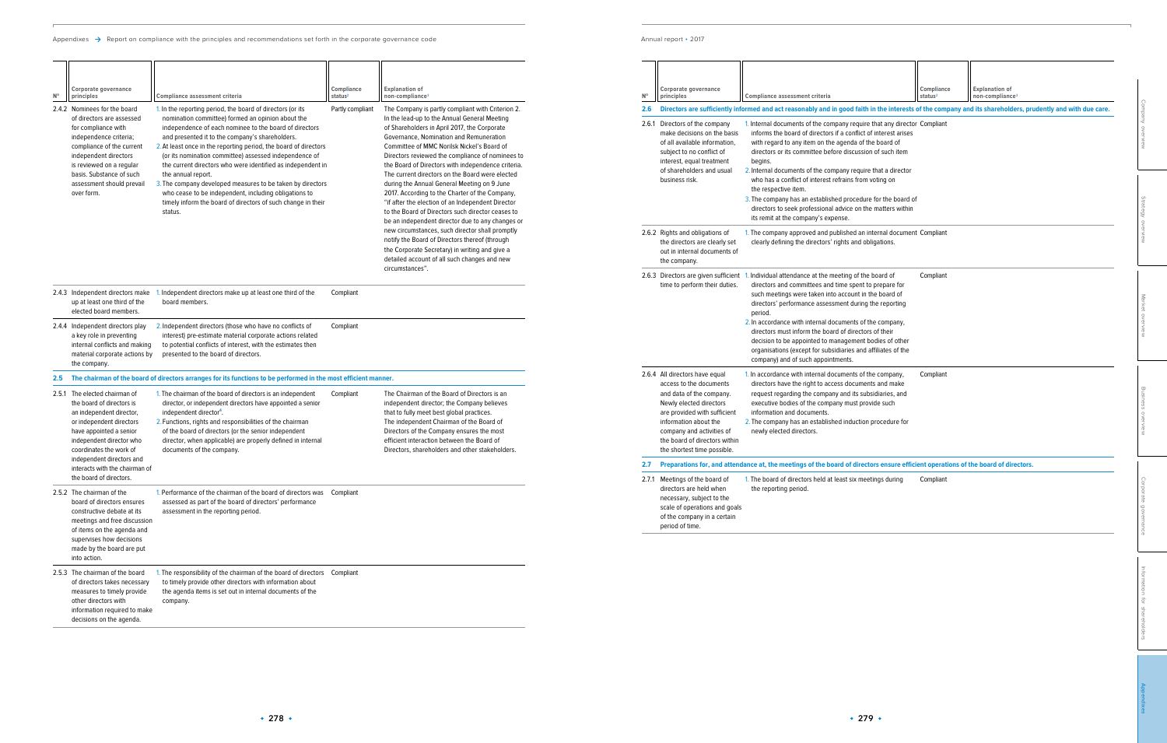[Information for shareholders](#page--1-0)

| Corporate governance<br>principles                                                                                                                                                                                                                                     | <b>Compliance assessment criteria</b>                                                                                                                                                                                                                                                                                                                                                                                                                                     | Compliance<br>status <sup>2</sup>                                                                                                                                                                                       | <b>Explanation of</b><br>non-compliance <sup>3</sup>                                                                                                                                                             |                                                                                                                                                                                                                                                                                                   |
|------------------------------------------------------------------------------------------------------------------------------------------------------------------------------------------------------------------------------------------------------------------------|---------------------------------------------------------------------------------------------------------------------------------------------------------------------------------------------------------------------------------------------------------------------------------------------------------------------------------------------------------------------------------------------------------------------------------------------------------------------------|-------------------------------------------------------------------------------------------------------------------------------------------------------------------------------------------------------------------------|------------------------------------------------------------------------------------------------------------------------------------------------------------------------------------------------------------------|---------------------------------------------------------------------------------------------------------------------------------------------------------------------------------------------------------------------------------------------------------------------------------------------------|
|                                                                                                                                                                                                                                                                        |                                                                                                                                                                                                                                                                                                                                                                                                                                                                           |                                                                                                                                                                                                                         |                                                                                                                                                                                                                  |                                                                                                                                                                                                                                                                                                   |
| Directors of the company<br>make decisions on the basis<br>of all available information,<br>subject to no conflict of<br>interest, equal treatment<br>of shareholders and usual<br>business risk.                                                                      | informs the board of directors if a conflict of interest arises<br>with regard to any item on the agenda of the board of<br>directors or its committee before discussion of such item<br>begins.<br>2. Internal documents of the company require that a director<br>who has a conflict of interest refrains from voting on                                                                                                                                                |                                                                                                                                                                                                                         |                                                                                                                                                                                                                  | Company overview                                                                                                                                                                                                                                                                                  |
|                                                                                                                                                                                                                                                                        | the respective item.<br>directors to seek professional advice on the matters within<br>its remit at the company's expense.                                                                                                                                                                                                                                                                                                                                                |                                                                                                                                                                                                                         |                                                                                                                                                                                                                  | Strategy overview                                                                                                                                                                                                                                                                                 |
| 2.6.2 Rights and obligations of<br>the directors are clearly set<br>out in internal documents of<br>the company.                                                                                                                                                       | clearly defining the directors' rights and obligations.                                                                                                                                                                                                                                                                                                                                                                                                                   |                                                                                                                                                                                                                         |                                                                                                                                                                                                                  |                                                                                                                                                                                                                                                                                                   |
| time to perform their duties.                                                                                                                                                                                                                                          | directors and committees and time spent to prepare for<br>such meetings were taken into account in the board of<br>directors' performance assessment during the reporting<br>period.<br>2. In accordance with internal documents of the company,<br>directors must inform the board of directors of their<br>decision to be appointed to management bodies of other<br>organisations (except for subsidiaries and affiliates of the<br>company) and of such appointments. | Compliant                                                                                                                                                                                                               |                                                                                                                                                                                                                  | Market overview                                                                                                                                                                                                                                                                                   |
| 2.6.4 All directors have equal<br>access to the documents<br>and data of the company.<br>Newly elected directors<br>are provided with sufficient<br>information about the<br>company and activities of<br>the board of directors within<br>the shortest time possible. | directors have the right to access documents and make<br>request regarding the company and its subsidiaries, and<br>executive bodies of the company must provide such<br>information and documents.<br>2. The company has an established induction procedure for<br>newly elected directors.                                                                                                                                                                              | Compliant                                                                                                                                                                                                               |                                                                                                                                                                                                                  | Business overview                                                                                                                                                                                                                                                                                 |
|                                                                                                                                                                                                                                                                        |                                                                                                                                                                                                                                                                                                                                                                                                                                                                           |                                                                                                                                                                                                                         |                                                                                                                                                                                                                  |                                                                                                                                                                                                                                                                                                   |
| 2.7.1 Meetings of the board of<br>directors are held when<br>necessary, subject to the<br>scale of operations and goals<br>of the company in a certain<br>period of time.                                                                                              | the reporting period.                                                                                                                                                                                                                                                                                                                                                                                                                                                     | Compliant                                                                                                                                                                                                               |                                                                                                                                                                                                                  | Corporate governanc                                                                                                                                                                                                                                                                               |
|                                                                                                                                                                                                                                                                        |                                                                                                                                                                                                                                                                                                                                                                                                                                                                           | 2.6.3 Directors are given sufficient 1. Individual attendance at the meeting of the board of<br>1. In accordance with internal documents of the company,<br>1. The board of directors held at least six meetings during | 1. Internal documents of the company require that any director Compliant<br>3. The company has an established procedure for the board of<br>1. The company approved and published an internal document Compliant | Directors are sufficiently informed and act reasonably and in good faith in the interests of the company and its shareholders, prudently and with due care.<br>Preparations for, and attendance at, the meetings of the board of directors ensure efficient operations of the board of directors. |

| Corporate governance<br>principles                                                                                                                                                                                                                                     | Compliance assessment criteria                                                                                                                                                                                                                                                                                                                                                                                                                                            | Compliance<br>status <sup>2</sup>                                                            | <b>Explanation of</b><br>non-compliance <sup>3</sup>                                                                                                                                                                                                                                                                                                                                                                                                                                        |
|------------------------------------------------------------------------------------------------------------------------------------------------------------------------------------------------------------------------------------------------------------------------|---------------------------------------------------------------------------------------------------------------------------------------------------------------------------------------------------------------------------------------------------------------------------------------------------------------------------------------------------------------------------------------------------------------------------------------------------------------------------|----------------------------------------------------------------------------------------------|---------------------------------------------------------------------------------------------------------------------------------------------------------------------------------------------------------------------------------------------------------------------------------------------------------------------------------------------------------------------------------------------------------------------------------------------------------------------------------------------|
|                                                                                                                                                                                                                                                                        |                                                                                                                                                                                                                                                                                                                                                                                                                                                                           |                                                                                              |                                                                                                                                                                                                                                                                                                                                                                                                                                                                                             |
| 2.6.1 Directors of the company<br>make decisions on the basis<br>of all available information,<br>subject to no conflict of<br>interest, equal treatment<br>of shareholders and usual<br>business risk.                                                                | informs the board of directors if a conflict of interest arises<br>with regard to any item on the agenda of the board of<br>directors or its committee before discussion of such item<br>begins.<br>2. Internal documents of the company require that a director<br>who has a conflict of interest refrains from voting on<br>the respective item.<br>directors to seek professional advice on the matters within<br>its remit at the company's expense.                  |                                                                                              |                                                                                                                                                                                                                                                                                                                                                                                                                                                                                             |
| 2.6.2 Rights and obligations of<br>the directors are clearly set<br>out in internal documents of<br>the company.                                                                                                                                                       | clearly defining the directors' rights and obligations.                                                                                                                                                                                                                                                                                                                                                                                                                   |                                                                                              |                                                                                                                                                                                                                                                                                                                                                                                                                                                                                             |
| time to perform their duties.                                                                                                                                                                                                                                          | directors and committees and time spent to prepare for<br>such meetings were taken into account in the board of<br>directors' performance assessment during the reporting<br>period.<br>2. In accordance with internal documents of the company,<br>directors must inform the board of directors of their<br>decision to be appointed to management bodies of other<br>organisations (except for subsidiaries and affiliates of the<br>company) and of such appointments. | Compliant                                                                                    |                                                                                                                                                                                                                                                                                                                                                                                                                                                                                             |
| 2.6.4 All directors have equal<br>access to the documents<br>and data of the company.<br>Newly elected directors<br>are provided with sufficient<br>information about the<br>company and activities of<br>the board of directors within<br>the shortest time possible. | 1. In accordance with internal documents of the company,<br>directors have the right to access documents and make<br>request regarding the company and its subsidiaries, and<br>executive bodies of the company must provide such<br>information and documents.<br>2. The company has an established induction procedure for<br>newly elected directors.                                                                                                                  | Compliant                                                                                    |                                                                                                                                                                                                                                                                                                                                                                                                                                                                                             |
|                                                                                                                                                                                                                                                                        |                                                                                                                                                                                                                                                                                                                                                                                                                                                                           |                                                                                              |                                                                                                                                                                                                                                                                                                                                                                                                                                                                                             |
| 2.7.1 Meetings of the board of<br>directors are held when<br>necessary, subject to the<br>scale of operations and goals<br>of the company in a certain<br>period of time.                                                                                              | 1. The board of directors held at least six meetings during<br>the reporting period.                                                                                                                                                                                                                                                                                                                                                                                      | Compliant                                                                                    |                                                                                                                                                                                                                                                                                                                                                                                                                                                                                             |
|                                                                                                                                                                                                                                                                        |                                                                                                                                                                                                                                                                                                                                                                                                                                                                           | 2.6.3 Directors are given sufficient 1. Individual attendance at the meeting of the board of | Directors are sufficiently informed and act reasonably and in good faith in the interests of the company and its shareholders, pr<br>1. Internal documents of the company require that any director Compliant<br>3. The company has an established procedure for the board of<br>1. The company approved and published an internal document Compliant<br>Preparations for, and attendance at, the meetings of the board of directors ensure efficient operations of the board of directors. |

| $N^{\circ}$ | Corporate governance<br>principles                                                                                                                                                                                                                                                             | Compliance assessment criteria                                                                                                                                                                                                                                                                                                                                                                                                                                                                                                                                                                                                                    | Compliance<br>status <sup>2</sup> | <b>Explanation of</b><br>non-compliance <sup>3</sup>                                                                                                                                                                                                                                                                                                                                                                                                                                                                                                                                                                                                                                                                                                                                                                                                                                             |
|-------------|------------------------------------------------------------------------------------------------------------------------------------------------------------------------------------------------------------------------------------------------------------------------------------------------|---------------------------------------------------------------------------------------------------------------------------------------------------------------------------------------------------------------------------------------------------------------------------------------------------------------------------------------------------------------------------------------------------------------------------------------------------------------------------------------------------------------------------------------------------------------------------------------------------------------------------------------------------|-----------------------------------|--------------------------------------------------------------------------------------------------------------------------------------------------------------------------------------------------------------------------------------------------------------------------------------------------------------------------------------------------------------------------------------------------------------------------------------------------------------------------------------------------------------------------------------------------------------------------------------------------------------------------------------------------------------------------------------------------------------------------------------------------------------------------------------------------------------------------------------------------------------------------------------------------|
|             | 2.4.2 Nominees for the board<br>of directors are assessed<br>for compliance with<br>independence criteria;<br>compliance of the current<br>independent directors<br>is reviewed on a regular<br>basis. Substance of such<br>assessment should prevail<br>over form.                            | 1. In the reporting period, the board of directors (or its<br>nomination committee) formed an opinion about the<br>independence of each nominee to the board of directors<br>and presented it to the company's shareholders.<br>2. At least once in the reporting period, the board of directors<br>(or its nomination committee) assessed independence of<br>the current directors who were identified as independent in<br>the annual report.<br>3. The company developed measures to be taken by directors<br>who cease to be independent, including obligations to<br>timely inform the board of directors of such change in their<br>status. | Partly compliant                  | The Company is partly compliant with Criterion 2.<br>In the lead-up to the Annual General Meeting<br>of Shareholders in April 2017, the Corporate<br>Governance, Nomination and Remuneration<br>Committee of MMC Norilsk Nickel's Board of<br>Directors reviewed the compliance of nominees to<br>the Board of Directors with independence criteria.<br>The current directors on the Board were elected<br>during the Annual General Meeting on 9 June<br>2017. According to the Charter of the Company,<br>"if after the election of an Independent Director<br>to the Board of Directors such director ceases to<br>be an independent director due to any changes or<br>new circumstances, such director shall promptly<br>notify the Board of Directors thereof (through<br>the Corporate Secretary) in writing and give a<br>detailed account of all such changes and new<br>circumstances". |
|             | 2.4.3 Independent directors make<br>up at least one third of the<br>elected board members.                                                                                                                                                                                                     | 1. Independent directors make up at least one third of the<br>board members.                                                                                                                                                                                                                                                                                                                                                                                                                                                                                                                                                                      | Compliant                         |                                                                                                                                                                                                                                                                                                                                                                                                                                                                                                                                                                                                                                                                                                                                                                                                                                                                                                  |
|             | 2.4.4 Independent directors play<br>a key role in preventing<br>internal conflicts and making<br>material corporate actions by<br>the company.                                                                                                                                                 | 2. Independent directors (those who have no conflicts of<br>interest) pre-estimate material corporate actions related<br>to potential conflicts of interest, with the estimates then<br>presented to the board of directors.                                                                                                                                                                                                                                                                                                                                                                                                                      | Compliant                         |                                                                                                                                                                                                                                                                                                                                                                                                                                                                                                                                                                                                                                                                                                                                                                                                                                                                                                  |
| $2.5\,$     |                                                                                                                                                                                                                                                                                                | The chairman of the board of directors arranges for its functions to be performed in the most efficient manner.                                                                                                                                                                                                                                                                                                                                                                                                                                                                                                                                   |                                   |                                                                                                                                                                                                                                                                                                                                                                                                                                                                                                                                                                                                                                                                                                                                                                                                                                                                                                  |
|             | 2.5.1 The elected chairman of<br>the board of directors is<br>an independent director,<br>or independent directors<br>have appointed a senior<br>independent director who<br>coordinates the work of<br>independent directors and<br>interacts with the chairman of<br>the board of directors. | 1. The chairman of the board of directors is an independent<br>director, or independent directors have appointed a senior<br>independent director <sup>4</sup> .<br>2. Functions, rights and responsibilities of the chairman<br>of the board of directors (or the senior independent<br>director, when applicable) are properly defined in internal<br>documents of the company.                                                                                                                                                                                                                                                                 | Compliant                         | The Chairman of the Board of Directors is an<br>independent director; the Company believes<br>that to fully meet best global practices.<br>The independent Chairman of the Board of<br>Directors of the Company ensures the most<br>efficient interaction between the Board of<br>Directors, shareholders and other stakeholders.                                                                                                                                                                                                                                                                                                                                                                                                                                                                                                                                                                |
|             | 2.5.2 The chairman of the<br>board of directors ensures<br>constructive debate at its<br>meetings and free discussion<br>of items on the agenda and<br>supervises how decisions<br>made by the board are put<br>into action.                                                                   | 1. Performance of the chairman of the board of directors was<br>assessed as part of the board of directors' performance<br>assessment in the reporting period.                                                                                                                                                                                                                                                                                                                                                                                                                                                                                    | Compliant                         |                                                                                                                                                                                                                                                                                                                                                                                                                                                                                                                                                                                                                                                                                                                                                                                                                                                                                                  |
|             | 2.5.3 The chairman of the board<br>of directors takes necessary<br>measures to timely provide<br>other directors with<br>information required to make<br>decisions on the agenda.                                                                                                              | 1. The responsibility of the chairman of the board of directors<br>to timely provide other directors with information about<br>the agenda items is set out in internal documents of the<br>company.                                                                                                                                                                                                                                                                                                                                                                                                                                               | Compliant                         |                                                                                                                                                                                                                                                                                                                                                                                                                                                                                                                                                                                                                                                                                                                                                                                                                                                                                                  |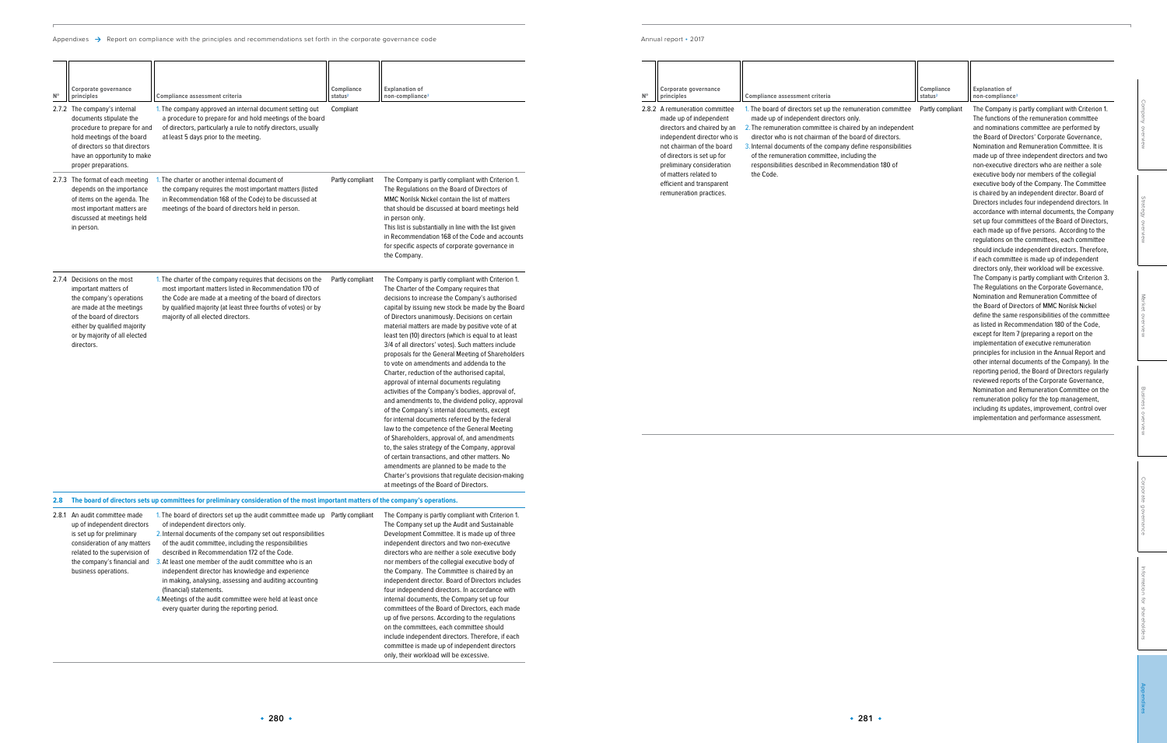Appendixes  $\rightarrow$  Report on compliance with the principles and recommendations set forth in the corporate governance code

## Annual report • 2017

[Information for shareholders](#page--1-0)

| N° | Corporate governance<br>principles                                                                                                                                                                             | Compliance assessment criteria                                                                                                                                                                                                                                                                                                                                                                        | Compliance<br>status <sup>2</sup> | <b>Explanation of</b><br>non-compliance <sup>3</sup>                                                                                                                                                                                                                                                                                                                                                                                                                                                              |                     |
|----|----------------------------------------------------------------------------------------------------------------------------------------------------------------------------------------------------------------|-------------------------------------------------------------------------------------------------------------------------------------------------------------------------------------------------------------------------------------------------------------------------------------------------------------------------------------------------------------------------------------------------------|-----------------------------------|-------------------------------------------------------------------------------------------------------------------------------------------------------------------------------------------------------------------------------------------------------------------------------------------------------------------------------------------------------------------------------------------------------------------------------------------------------------------------------------------------------------------|---------------------|
|    | 2.8.2 A remuneration committee<br>made up of independent<br>directors and chaired by an<br>independent director who is<br>not chairman of the board<br>of directors is set up for<br>preliminary consideration | 1. The board of directors set up the remuneration committee<br>made up of independent directors only.<br>2. The remuneration committee is chaired by an independent<br>director who is not chairman of the board of directors.<br>3. Internal documents of the company define responsibilities<br>of the remuneration committee, including the<br>responsibilities described in Recommendation 180 of | Partly compliant                  | The Company is partly compliant with Criterion 1.<br>The functions of the remuneration committee<br>and nominations committee are performed by<br>the Board of Directors' Corporate Governance,<br>Nomination and Remuneration Committee. It is<br>made up of three independent directors and two<br>non-executive directors who are neither a sole                                                                                                                                                               | Company overview    |
|    | of matters related to<br>efficient and transparent<br>remuneration practices.                                                                                                                                  | the Code.                                                                                                                                                                                                                                                                                                                                                                                             |                                   | executive body nor members of the collegial<br>executive body of the Company. The Committee<br>is chaired by an independent director. Board of<br>Directors includes four independend directors. In<br>accordance with internal documents, the Company<br>set up four committees of the Board of Directors,<br>each made up of five persons. According to the<br>regulations on the committees, each committee<br>should include independent directors. Therefore,<br>if each committee is made up of independent | Strategy overview   |
|    |                                                                                                                                                                                                                |                                                                                                                                                                                                                                                                                                                                                                                                       |                                   | directors only, their workload will be excessive.<br>The Company is partly compliant with Criterion 3.<br>The Regulations on the Corporate Governance,<br>Nomination and Remuneration Committee of<br>the Board of Directors of MMC Norilsk Nickel<br>define the same responsibilities of the committee<br>as listed in Recommendation 180 of the Code,<br>except for Item 7 (preparing a report on the<br>implementation of executive remuneration<br>principles for inclusion in the Annual Report and          | Market overview     |
|    |                                                                                                                                                                                                                |                                                                                                                                                                                                                                                                                                                                                                                                       |                                   | other internal documents of the Company). In the<br>reporting period, the Board of Directors regularly<br>reviewed reports of the Corporate Governance,<br>Nomination and Remuneration Committee on the<br>remuneration policy for the top management,<br>including its updates, improvement, control over<br>implementation and performance assessment.                                                                                                                                                          | Business overview   |
|    |                                                                                                                                                                                                                |                                                                                                                                                                                                                                                                                                                                                                                                       |                                   |                                                                                                                                                                                                                                                                                                                                                                                                                                                                                                                   | Corporate governanc |

| $N^{\circ}$ | Corporate governance<br>principles                                                                                                                                                                                      | Compliance assessment criteria                                                                                                                                                                                                                                                            | Compliance<br>status <sup>2</sup> | <b>Explanation of</b><br>non-compliance <sup>3</sup>                                                                                                                                                                                                                                                                                                                                                                                                                                                                                                                                                                                                                                                                                                                                                                                                                                                                                                                                                                                                                                                                                                                              |
|-------------|-------------------------------------------------------------------------------------------------------------------------------------------------------------------------------------------------------------------------|-------------------------------------------------------------------------------------------------------------------------------------------------------------------------------------------------------------------------------------------------------------------------------------------|-----------------------------------|-----------------------------------------------------------------------------------------------------------------------------------------------------------------------------------------------------------------------------------------------------------------------------------------------------------------------------------------------------------------------------------------------------------------------------------------------------------------------------------------------------------------------------------------------------------------------------------------------------------------------------------------------------------------------------------------------------------------------------------------------------------------------------------------------------------------------------------------------------------------------------------------------------------------------------------------------------------------------------------------------------------------------------------------------------------------------------------------------------------------------------------------------------------------------------------|
|             | 2.7.2 The company's internal<br>documents stipulate the<br>procedure to prepare for and<br>hold meetings of the board<br>of directors so that directors<br>have an opportunity to make<br>proper preparations.          | 1. The company approved an internal document setting out<br>a procedure to prepare for and hold meetings of the board<br>of directors, particularly a rule to notify directors, usually<br>at least 5 days prior to the meeting.                                                          | Compliant                         |                                                                                                                                                                                                                                                                                                                                                                                                                                                                                                                                                                                                                                                                                                                                                                                                                                                                                                                                                                                                                                                                                                                                                                                   |
|             | 2.7.3 The format of each meeting<br>depends on the importance<br>of items on the agenda. The<br>most important matters are<br>discussed at meetings held<br>in person.                                                  | 1. The charter or another internal document of<br>the company requires the most important matters (listed<br>in Recommendation 168 of the Code) to be discussed at<br>meetings of the board of directors held in person.                                                                  | Partly compliant                  | The Company is partly compliant with Criterion 1.<br>The Regulations on the Board of Directors of<br>MMC Norilsk Nickel contain the list of matters<br>that should be discussed at board meetings held<br>in person only.<br>This list is substantially in line with the list given<br>in Recommendation 168 of the Code and accounts<br>for specific aspects of corporate governance in<br>the Company.                                                                                                                                                                                                                                                                                                                                                                                                                                                                                                                                                                                                                                                                                                                                                                          |
|             | 2.7.4 Decisions on the most<br>important matters of<br>the company's operations<br>are made at the meetings<br>of the board of directors<br>either by qualified majority<br>or by majority of all elected<br>directors. | 1. The charter of the company requires that decisions on the<br>most important matters listed in Recommendation 170 of<br>the Code are made at a meeting of the board of directors<br>by qualified majority (at least three fourths of votes) or by<br>majority of all elected directors. | Partly compliant                  | The Company is partly compliant with Criterion 1.<br>The Charter of the Company requires that<br>decisions to increase the Company's authorised<br>capital by issuing new stock be made by the Board<br>of Directors unanimously. Decisions on certain<br>material matters are made by positive vote of at<br>least ten (10) directors (which is equal to at least<br>3/4 of all directors' votes). Such matters include<br>proposals for the General Meeting of Shareholders<br>to vote on amendments and addenda to the<br>Charter, reduction of the authorised capital,<br>approval of internal documents regulating<br>activities of the Company's bodies, approval of,<br>and amendments to, the dividend policy, approval<br>of the Company's internal documents, except<br>for internal documents referred by the federal<br>law to the competence of the General Meeting<br>of Shareholders, approval of, and amendments<br>to, the sales strategy of the Company, approval<br>of certain transactions, and other matters. No<br>amendments are planned to be made to the<br>Charter's provisions that regulate decision-making<br>at meetings of the Board of Directors. |
| 2.8         |                                                                                                                                                                                                                         | The board of directors sets up committees for preliminary consideration of the most important matters of the company's operations.                                                                                                                                                        |                                   |                                                                                                                                                                                                                                                                                                                                                                                                                                                                                                                                                                                                                                                                                                                                                                                                                                                                                                                                                                                                                                                                                                                                                                                   |
|             | 2.8.1 An audit committee made                                                                                                                                                                                           | 1. The board of directors set up the audit committee made up Partly compliant                                                                                                                                                                                                             |                                   | The Company is partly compliant with Criterion 1.                                                                                                                                                                                                                                                                                                                                                                                                                                                                                                                                                                                                                                                                                                                                                                                                                                                                                                                                                                                                                                                                                                                                 |

| 2.8.1 | An audit committee made<br>up of independent directors | 1. The board of directors set up the audit committee made up<br>of independent directors only. | Partly compliant | The Company is partly compliant with Criterion 1.<br>The Company set up the Audit and Sustainable |
|-------|--------------------------------------------------------|------------------------------------------------------------------------------------------------|------------------|---------------------------------------------------------------------------------------------------|
|       | is set up for preliminary                              | 2. Internal documents of the company set out responsibilities                                  |                  | Development Committee. It is made up of three                                                     |
|       | consideration of any matters                           | of the audit committee, including the responsibilities                                         |                  | independent directors and two non-executive                                                       |
|       | related to the supervision of                          | described in Recommendation 172 of the Code.                                                   |                  | directors who are neither a sole executive body                                                   |
|       | the company's financial and                            | 3. At least one member of the audit committee who is an                                        |                  | nor members of the collegial executive body of                                                    |
|       | business operations.                                   | independent director has knowledge and experience                                              |                  | the Company. The Committee is chaired by an                                                       |
|       |                                                        | in making, analysing, assessing and auditing accounting                                        |                  | independent director. Board of Directors includes                                                 |
|       |                                                        | (financial) statements.                                                                        |                  | four independend directors. In accordance with                                                    |
|       |                                                        | 4. Meetings of the audit committee were held at least once                                     |                  | internal documents, the Company set up four                                                       |
|       |                                                        | every quarter during the reporting period.                                                     |                  | committees of the Board of Directors, each made                                                   |
|       |                                                        |                                                                                                |                  | up of five persons. According to the regulations                                                  |
|       |                                                        |                                                                                                |                  | on the committees, each committee should                                                          |
|       |                                                        |                                                                                                |                  | include independent directors. Therefore, if each                                                 |
|       |                                                        |                                                                                                |                  | committee is made up of independent directors                                                     |
|       |                                                        |                                                                                                |                  | only, their workload will be excessive.                                                           |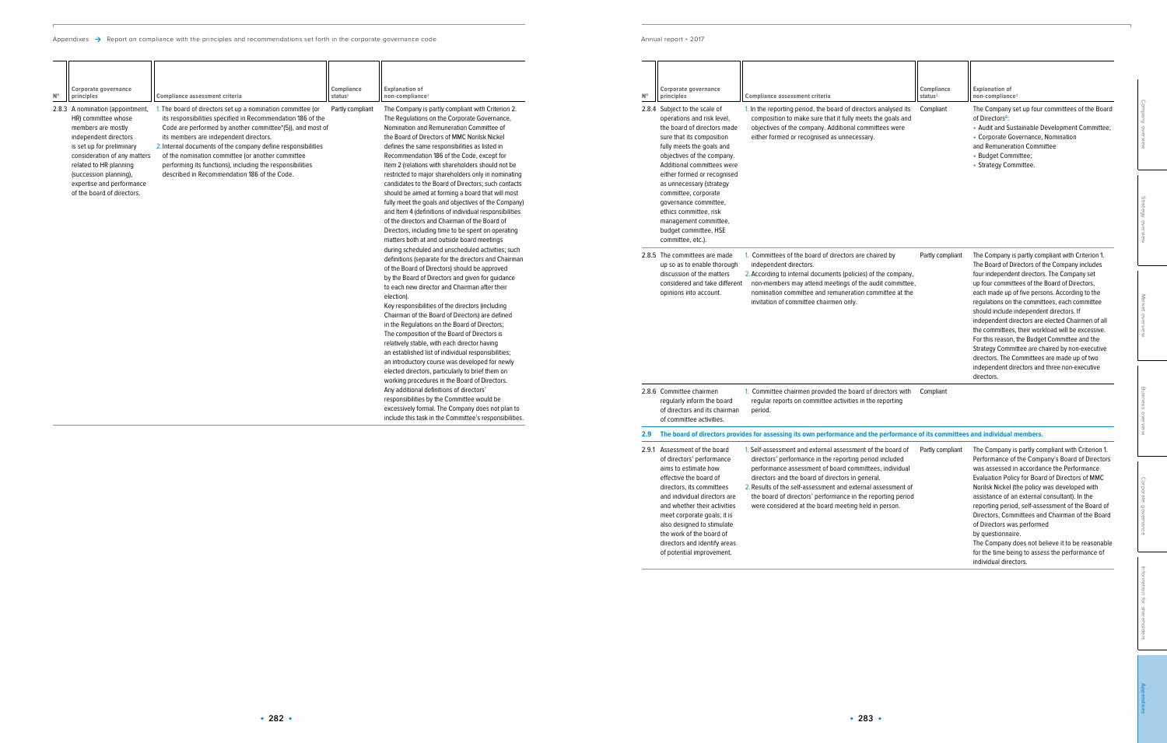|  | Annual report • 2017 |  |
|--|----------------------|--|
|--|----------------------|--|

| $N^{\circ}$ | Corporate governance<br>principles<br>2.8.4 Subject to the scale of<br>operations and risk level,<br>the board of directors made<br>sure that its composition<br>fully meets the goals and<br>objectives of the company.<br>Additional committees were                                                                                                          | <b>Compliance assessment criteria</b><br>1. In the reporting period, the board of directors analysed its<br>composition to make sure that it fully meets the goals and<br>objectives of the company. Additional committees were<br>either formed or recognised as unnecessary.                                                                                                                                             | Compliance<br>status <sup>2</sup><br>Compliant | <b>Explanation of</b><br>non-compliance <sup>3</sup><br>The Company set up four committees of the Board<br>of Directors <sup>6</sup> :<br>• Audit and Sustainable Development Committee;<br>• Corporate Governance, Nomination<br>and Remuneration Committee<br>• Budget Committee;<br>• Strategy Committee.                                                                                                                                                                                                                                                                                                                                                                    | Company overview     |
|-------------|-----------------------------------------------------------------------------------------------------------------------------------------------------------------------------------------------------------------------------------------------------------------------------------------------------------------------------------------------------------------|----------------------------------------------------------------------------------------------------------------------------------------------------------------------------------------------------------------------------------------------------------------------------------------------------------------------------------------------------------------------------------------------------------------------------|------------------------------------------------|---------------------------------------------------------------------------------------------------------------------------------------------------------------------------------------------------------------------------------------------------------------------------------------------------------------------------------------------------------------------------------------------------------------------------------------------------------------------------------------------------------------------------------------------------------------------------------------------------------------------------------------------------------------------------------|----------------------|
|             | either formed or recognised<br>as unnecessary (strategy<br>committee, corporate<br>governance committee,<br>ethics committee, risk<br>management committee,<br>budget committee, HSE<br>committee, etc.).                                                                                                                                                       |                                                                                                                                                                                                                                                                                                                                                                                                                            |                                                |                                                                                                                                                                                                                                                                                                                                                                                                                                                                                                                                                                                                                                                                                 | Strategy overview    |
|             | 2.8.5 The committees are made<br>up so as to enable thorough<br>discussion of the matters<br>considered and take different<br>opinions into account.                                                                                                                                                                                                            | 1. Committees of the board of directors are chaired by<br>independent directors.<br>2. According to internal documents (policies) of the company,<br>non-members may attend meetings of the audit committee,<br>nomination committee and remuneration committee at the<br>invitation of committee chairmen only.                                                                                                           | Partly compliant                               | The Company is partly compliant with Criterion 1.<br>The Board of Directors of the Company includes<br>four independent directors. The Company set<br>up four committees of the Board of Directors,<br>each made up of five persons. According to the<br>regulations on the committees, each committee<br>should include independent directors. If<br>independent directors are elected Chairmen of all<br>the committees, their workload will be excessive.<br>For this reason, the Budget Committee and the<br>Strategy Committee are chaired by non-executive<br>directors. The Committees are made up of two<br>independent directors and three non-executive<br>directors. | Market overview      |
|             | 2.8.6 Committee chairmen<br>regularly inform the board<br>of directors and its chairman<br>of committee activities.                                                                                                                                                                                                                                             | 1. Committee chairmen provided the board of directors with<br>regular reports on committee activities in the reporting<br>period.                                                                                                                                                                                                                                                                                          | Compliant                                      |                                                                                                                                                                                                                                                                                                                                                                                                                                                                                                                                                                                                                                                                                 | Business overview    |
| 2.9         |                                                                                                                                                                                                                                                                                                                                                                 | The board of directors provides for assessing its own performance and the performance of its committees and individual members.                                                                                                                                                                                                                                                                                            |                                                |                                                                                                                                                                                                                                                                                                                                                                                                                                                                                                                                                                                                                                                                                 |                      |
|             | 2.9.1 Assessment of the board<br>of directors' performance<br>aims to estimate how<br>effective the board of<br>directors, its committees<br>and individual directors are<br>and whether their activities<br>meet corporate goals; it is<br>also designed to stimulate<br>the work of the board of<br>directors and identify areas<br>of potential improvement. | 1. Self-assessment and external assessment of the board of<br>directors' performance in the reporting period included<br>performance assessment of board committees, individual<br>directors and the board of directors in general.<br>2. Results of the self-assessment and external assessment of<br>the board of directors' performance in the reporting period<br>were considered at the board meeting held in person. | Partly compliant                               | The Company is partly compliant with Criterion 1.<br>Performance of the Company's Board of Directors<br>was assessed in accordance the Performance<br>Evaluation Policy for Board of Directors of MMC<br>Norilsk Nickel (the policy was developed with<br>assistance of an external consultant). In the<br>reporting period, self-assessment of the Board of<br>Directors, Committees and Chairman of the Board<br>of Directors was performed<br>by questionnaire.<br>The Company does not believe it to be reasonable<br>for the time being to assess the performance of<br>individual directors.                                                                              | Corporate governance |

|             | Corporate governance             |                                                              | Compliance          | <b>Explanation of</b>                                  |
|-------------|----------------------------------|--------------------------------------------------------------|---------------------|--------------------------------------------------------|
| $N^{\circ}$ | principles                       | Compliance assessment criteria                               | status <sup>2</sup> | non-compliance <sup>3</sup>                            |
|             | 2.8.3 A nomination (appointment, | 1. The board of directors set up a nomination committee (or  | Partly compliant    | The Company is partly compliant with Criterion 2.      |
|             | HR) committee whose              | its responsibilities specified in Recommendation 186 of the  |                     | The Regulations on the Corporate Governance,           |
|             | members are mostly               | Code are performed by another committee*(5)), and most of    |                     | Nomination and Remuneration Committee of               |
|             | independent directors            | its members are independent directors.                       |                     | the Board of Directors of MMC Norilsk Nickel           |
|             | is set up for preliminary        | 2. Internal documents of the company define responsibilities |                     | defines the same responsibilities as listed in         |
|             | consideration of any matters     | of the nomination committee (or another committee            |                     | Recommendation 186 of the Code, except for             |
|             | related to HR planning           | performing its functions), including the responsibilities    |                     | Item 2 (relations with shareholders should not be      |
|             | (succession planning),           | described in Recommendation 186 of the Code.                 |                     | restricted to major shareholders only in nominating    |
|             | expertise and performance        |                                                              |                     | candidates to the Board of Directors; such contacts    |
|             | of the board of directors.       |                                                              |                     | should be aimed at forming a board that will most      |
|             |                                  |                                                              |                     | fully meet the goals and objectives of the Company)    |
|             |                                  |                                                              |                     | and Item 4 (definitions of individual responsibilities |
|             |                                  |                                                              |                     | of the directors and Chairman of the Board of          |
|             |                                  |                                                              |                     | Directors, including time to be spent on operating     |
|             |                                  |                                                              |                     | matters both at and outside board meetings             |
|             |                                  |                                                              |                     | during scheduled and unscheduled activities; such      |
|             |                                  |                                                              |                     | definitions (separate for the directors and Chairman   |
|             |                                  |                                                              |                     | of the Board of Directors) should be approved          |
|             |                                  |                                                              |                     | by the Board of Directors and given for guidance       |
|             |                                  |                                                              |                     | to each new director and Chairman after their          |
|             |                                  |                                                              |                     | election).                                             |
|             |                                  |                                                              |                     | Key responsibilities of the directors (including       |
|             |                                  |                                                              |                     | Chairman of the Board of Directors) are defined        |
|             |                                  |                                                              |                     | in the Regulations on the Board of Directors;          |
|             |                                  |                                                              |                     | The composition of the Board of Directors is           |
|             |                                  |                                                              |                     | relatively stable, with each director having           |
|             |                                  |                                                              |                     | an established list of individual responsibilities;    |
|             |                                  |                                                              |                     | an introductory course was developed for newly         |
|             |                                  |                                                              |                     | elected directors, particularly to brief them on       |
|             |                                  |                                                              |                     | working procedures in the Board of Directors.          |
|             |                                  |                                                              |                     | Any additional definitions of directors'               |
|             |                                  |                                                              |                     | responsibilities by the Committee would be             |
|             |                                  |                                                              |                     | excessively formal. The Company does not plan to       |
|             |                                  |                                                              |                     | include this task in the Committee's responsibilities. |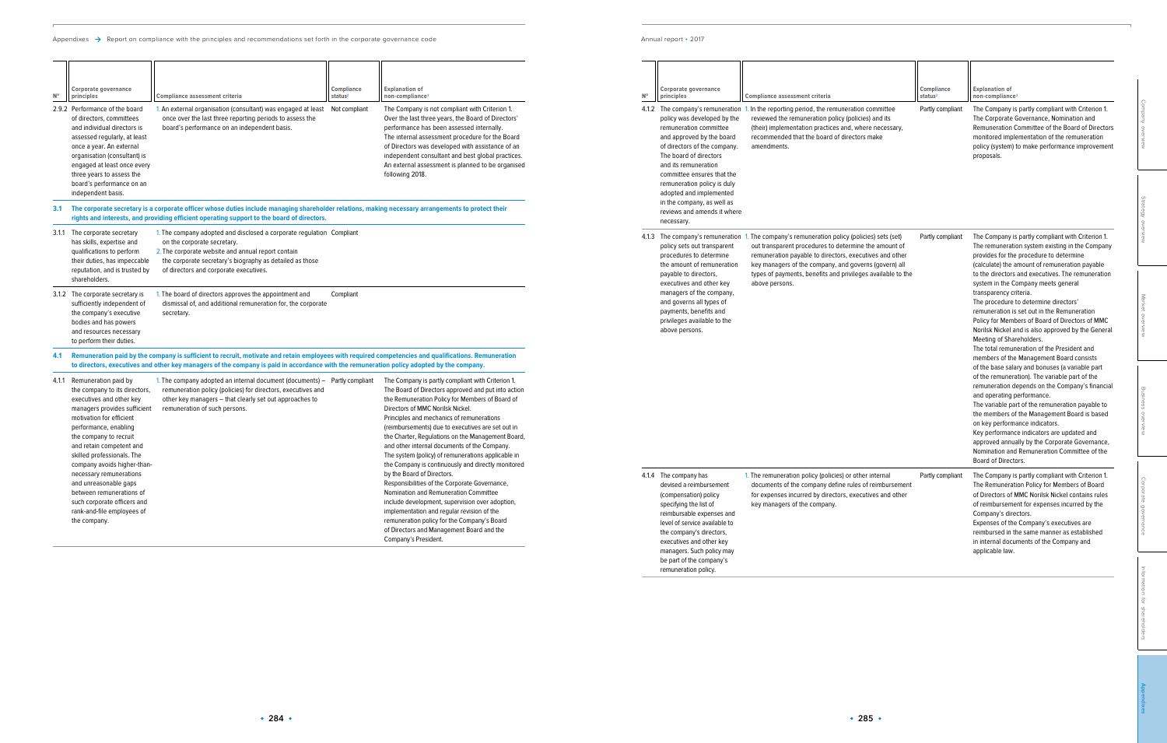| Corporate governance<br>principles                                                                                                                                                                                                                                                                                                      | <b>Compliance assessment criteria</b>                                                                                                                                                                                                                              | Compliance<br>status <sup>2</sup>                                                | <b>Explanation of</b><br>non-compliance <sup>3</sup>                                                                                                                                                                                                                                                                                                                                                                                                              |
|-----------------------------------------------------------------------------------------------------------------------------------------------------------------------------------------------------------------------------------------------------------------------------------------------------------------------------------------|--------------------------------------------------------------------------------------------------------------------------------------------------------------------------------------------------------------------------------------------------------------------|----------------------------------------------------------------------------------|-------------------------------------------------------------------------------------------------------------------------------------------------------------------------------------------------------------------------------------------------------------------------------------------------------------------------------------------------------------------------------------------------------------------------------------------------------------------|
| policy was developed by the<br>remuneration committee<br>and approved by the board<br>of directors of the company.<br>The board of directors<br>and its remuneration<br>committee ensures that the<br>remuneration policy is duly<br>adopted and implemented<br>in the company, as well as<br>reviews and amends it where<br>necessary. | The company's remuneration 1. In the reporting period, the remuneration committee<br>reviewed the remuneration policy (policies) and its<br>(their) implementation practices and, where necessary,<br>recommended that the board of directors make<br>amendments.  | Partly compliant                                                                 | The Company is partly compliant with Criterion 1.<br>The Corporate Governance, Nomination and<br>Remuneration Committee of the Board of Directors<br>monitored implementation of the remuneration<br>policy (system) to make performance improvement<br>proposals.                                                                                                                                                                                                |
| policy sets out transparent<br>procedures to determine<br>the amount of remuneration                                                                                                                                                                                                                                                    | The company's remuneration 1. The company's remuneration policy (policies) sets (set)<br>out transparent procedures to determine the amount of<br>remuneration payable to directors, executives and other<br>key managers of the company, and governs (govern) all | Partly compliant                                                                 | The Company is partly compliant with Criterion 1.<br>The remuneration system existing in the Company<br>provides for the procedure to determine<br>(calculate) the amount of remuneration payable                                                                                                                                                                                                                                                                 |
| payable to directors,<br>executives and other key<br>managers of the company,<br>and governs all types of<br>payments, benefits and<br>privileges available to the<br>above persons.                                                                                                                                                    | types of payments, benefits and privileges available to the<br>above persons.                                                                                                                                                                                      | transparency criteria.<br>Meeting of Shareholders.<br>and operating performance. | to the directors and executives. The remuneration<br>system in the Company meets general<br>The procedure to determine directors'<br>remuneration is set out in the Remuneration<br>Policy for Members of Board of Directors of MMC<br>Norilsk Nickel and is also approved by the General<br>The total remuneration of the President and<br>members of the Management Board consists                                                                              |
|                                                                                                                                                                                                                                                                                                                                         |                                                                                                                                                                                                                                                                    |                                                                                  | of the base salary and bonuses (a variable part<br>of the remuneration). The variable part of the<br>remuneration depends on the Company's financial<br>The variable part of the remuneration payable to<br>the members of the Management Board is based<br>on key performance indicators.<br>Key performance indicators are updated and<br>approved annually by the Corporate Governance,<br>Nomination and Remuneration Committee of the<br>Board of Directors. |
| The company has<br>devised a reimbursement<br>(compensation) policy<br>specifying the list of<br>reimbursable expenses and<br>level of service available to<br>the company's directors,<br>executives and other key<br>managers. Such policy may<br>be part of the company's<br>remuneration policy.                                    | 1. The remuneration policy (policies) or other internal<br>documents of the company define rules of reimbursement<br>for expenses incurred by directors, executives and other<br>key managers of the company.                                                      | Partly compliant                                                                 | The Company is partly compliant with Criterion 1.<br>The Remuneration Policy for Members of Board<br>of Directors of MMC Norilsk Nickel contains rules<br>of reimbursement for expenses incurred by the<br>Company's directors.<br>Expenses of the Company's executives are<br>reimbursed in the same manner as established<br>in internal documents of the Company and<br>applicable law.                                                                        |
|                                                                                                                                                                                                                                                                                                                                         |                                                                                                                                                                                                                                                                    |                                                                                  |                                                                                                                                                                                                                                                                                                                                                                                                                                                                   |

| $N^{\circ}$ | Corporate governance<br>principles<br>policy was developed by the                                                                                                                                                                                                                                        | Compliance assessment criteria<br>4.1.2 The company's remuneration 1. In the reporting period, the remuneration committee<br>reviewed the remuneration policy (policies) and its                                                                                         | Compliance<br>status <sup>2</sup><br>Partly compliant | <b>Explanation of</b><br>non-compliance <sup>3</sup><br>The Company is partly compliant with Criterion 1.<br>The Corporate Governance, Nomination and                                                                                                                                                                                                                                                                                                                                           |                                       |
|-------------|----------------------------------------------------------------------------------------------------------------------------------------------------------------------------------------------------------------------------------------------------------------------------------------------------------|--------------------------------------------------------------------------------------------------------------------------------------------------------------------------------------------------------------------------------------------------------------------------|-------------------------------------------------------|-------------------------------------------------------------------------------------------------------------------------------------------------------------------------------------------------------------------------------------------------------------------------------------------------------------------------------------------------------------------------------------------------------------------------------------------------------------------------------------------------|---------------------------------------|
|             | remuneration committee<br>and approved by the board<br>of directors of the company.<br>The board of directors<br>and its remuneration<br>committee ensures that the<br>remuneration policy is duly<br>adopted and implemented<br>in the company, as well as<br>reviews and amends it where<br>necessary. | (their) implementation practices and, where necessary,<br>recommended that the board of directors make<br>amendments.                                                                                                                                                    |                                                       | Remuneration Committee of the Board of Directors<br>monitored implementation of the remuneration<br>policy (system) to make performance improvement<br>proposals.                                                                                                                                                                                                                                                                                                                               | Company overview<br>Strategy overview |
|             | policy sets out transparent<br>procedures to determine<br>the amount of remuneration                                                                                                                                                                                                                     | 4.1.3 The company's remuneration 1. The company's remuneration policy (policies) sets (set)<br>out transparent procedures to determine the amount of<br>remuneration payable to directors, executives and other<br>key managers of the company, and governs (govern) all | Partly compliant                                      | The Company is partly compliant with Criterion 1.<br>The remuneration system existing in the Company<br>provides for the procedure to determine<br>(calculate) the amount of remuneration payable                                                                                                                                                                                                                                                                                               |                                       |
|             | payable to directors,<br>executives and other key<br>managers of the company,<br>and governs all types of<br>payments, benefits and<br>privileges available to the<br>above persons.                                                                                                                     | types of payments, benefits and privileges available to the<br>above persons.                                                                                                                                                                                            |                                                       | to the directors and executives. The remuneration<br>system in the Company meets general<br>transparency criteria.<br>The procedure to determine directors'<br>remuneration is set out in the Remuneration<br>Policy for Members of Board of Directors of MMC<br>Norilsk Nickel and is also approved by the General<br>Meeting of Shareholders.<br>The total remuneration of the President and<br>members of the Management Board consists                                                      | Market overview                       |
|             |                                                                                                                                                                                                                                                                                                          |                                                                                                                                                                                                                                                                          |                                                       | of the base salary and bonuses (a variable part<br>of the remuneration). The variable part of the<br>remuneration depends on the Company's financial<br>and operating performance.<br>The variable part of the remuneration payable to<br>the members of the Management Board is based<br>on key performance indicators.<br>Key performance indicators are updated and<br>approved annually by the Corporate Governance,<br>Nomination and Remuneration Committee of the<br>Board of Directors. | Business overview                     |
|             | 4.1.4 The company has<br>devised a reimbursement<br>(compensation) policy<br>specifying the list of<br>reimbursable expenses and<br>level of service available to<br>the company's directors,<br>executives and other key<br>managers. Such policy may                                                   | 1. The remuneration policy (policies) or other internal<br>documents of the company define rules of reimbursement<br>for expenses incurred by directors, executives and other<br>key managers of the company.                                                            | Partly compliant                                      | The Company is partly compliant with Criterion 1.<br>The Remuneration Policy for Members of Board<br>of Directors of MMC Norilsk Nickel contains rules<br>of reimbursement for expenses incurred by the<br>Company's directors.<br>Expenses of the Company's executives are<br>reimbursed in the same manner as established<br>in internal documents of the Company and<br>applicable law.                                                                                                      | Corporate<br>governance               |

|             | Corporate governance                                                                                                                                                                                                                                                                                                                                                                                                                                   |                                                                                                                                                                                                                                                                                                   | Compliance          | <b>Explanation of</b>                                                                                                                                                                                                                                                                                                                                                                                                                                                                                                                                                                                                                                                                                                                                                                                                                   |
|-------------|--------------------------------------------------------------------------------------------------------------------------------------------------------------------------------------------------------------------------------------------------------------------------------------------------------------------------------------------------------------------------------------------------------------------------------------------------------|---------------------------------------------------------------------------------------------------------------------------------------------------------------------------------------------------------------------------------------------------------------------------------------------------|---------------------|-----------------------------------------------------------------------------------------------------------------------------------------------------------------------------------------------------------------------------------------------------------------------------------------------------------------------------------------------------------------------------------------------------------------------------------------------------------------------------------------------------------------------------------------------------------------------------------------------------------------------------------------------------------------------------------------------------------------------------------------------------------------------------------------------------------------------------------------|
| $N^{\circ}$ | principles                                                                                                                                                                                                                                                                                                                                                                                                                                             | Compliance assessment criteria                                                                                                                                                                                                                                                                    | status <sup>2</sup> | non-compliance <sup>3</sup>                                                                                                                                                                                                                                                                                                                                                                                                                                                                                                                                                                                                                                                                                                                                                                                                             |
|             | 2.9.2 Performance of the board<br>of directors, committees<br>and individual directors is<br>assessed regularly, at least<br>once a year. An external<br>organisation (consultant) is<br>engaged at least once every<br>three years to assess the<br>board's performance on an<br>independent basis.                                                                                                                                                   | 1. An external organisation (consultant) was engaged at least<br>once over the last three reporting periods to assess the<br>board's performance on an independent basis.                                                                                                                         | Not compliant       | The Company is not compliant with Criterion 1.<br>Over the last three years, the Board of Directors'<br>performance has been assessed internally.<br>The internal assessment procedure for the Board<br>of Directors was developed with assistance of an<br>independent consultant and best global practices.<br>An external assessment is planned to be organised<br>following 2018.                                                                                                                                                                                                                                                                                                                                                                                                                                                   |
| 3.1         |                                                                                                                                                                                                                                                                                                                                                                                                                                                        | The corporate secretary is a corporate officer whose duties include managing shareholder relations, making necessary arrangements to protect their<br>rights and interests, and providing efficient operating support to the board of directors.                                                  |                     |                                                                                                                                                                                                                                                                                                                                                                                                                                                                                                                                                                                                                                                                                                                                                                                                                                         |
|             | 3.1.1 The corporate secretary<br>has skills, expertise and<br>qualifications to perform<br>their duties, has impeccable<br>reputation, and is trusted by<br>shareholders.                                                                                                                                                                                                                                                                              | 1. The company adopted and disclosed a corporate regulation Compliant<br>on the corporate secretary.<br>2. The corporate website and annual report contain<br>the corporate secretary's biography as detailed as those<br>of directors and corporate executives.                                  |                     |                                                                                                                                                                                                                                                                                                                                                                                                                                                                                                                                                                                                                                                                                                                                                                                                                                         |
|             | 3.1.2 The corporate secretary is<br>sufficiently independent of<br>the company's executive<br>bodies and has powers<br>and resources necessary<br>to perform their duties.                                                                                                                                                                                                                                                                             | 1. The board of directors approves the appointment and<br>dismissal of, and additional remuneration for, the corporate<br>secretary.                                                                                                                                                              | Compliant           |                                                                                                                                                                                                                                                                                                                                                                                                                                                                                                                                                                                                                                                                                                                                                                                                                                         |
| 4.1         |                                                                                                                                                                                                                                                                                                                                                                                                                                                        | Remuneration paid by the company is sufficient to recruit, motivate and retain employees with required competencies and qualifications. Remuneration<br>to directors, executives and other key managers of the company is paid in accordance with the remuneration policy adopted by the company. |                     |                                                                                                                                                                                                                                                                                                                                                                                                                                                                                                                                                                                                                                                                                                                                                                                                                                         |
| 4.1.1       | Remuneration paid by<br>the company to its directors,<br>executives and other key<br>managers provides sufficient<br>motivation for efficient<br>performance, enabling<br>the company to recruit<br>and retain competent and<br>skilled professionals. The<br>company avoids higher-than-<br>necessary remunerations<br>and unreasonable gaps<br>between remunerations of<br>such corporate officers and<br>rank-and-file employees of<br>the company. | 1. The company adopted an internal document (documents) $-$ Partly compliant<br>remuneration policy (policies) for directors, executives and<br>other key managers - that clearly set out approaches to<br>remuneration of such persons.                                                          |                     | The Company is partly compliant with Criterion 1.<br>The Board of Directors approved and put into action<br>the Remuneration Policy for Members of Board of<br>Directors of MMC Norilsk Nickel.<br>Principles and mechanics of remunerations<br>(reimbursements) due to executives are set out in<br>the Charter, Regulations on the Management Board,<br>and other internal documents of the Company.<br>The system (policy) of remunerations applicable in<br>the Company is continuously and directly monitored<br>by the Board of Directors.<br>Responsibilities of the Corporate Governance,<br>Nomination and Remuneration Committee<br>include development, supervision over adoption,<br>implementation and regular revision of the<br>remuneration policy for the Company's Board<br>of Directors and Management Board and the |

Company's President.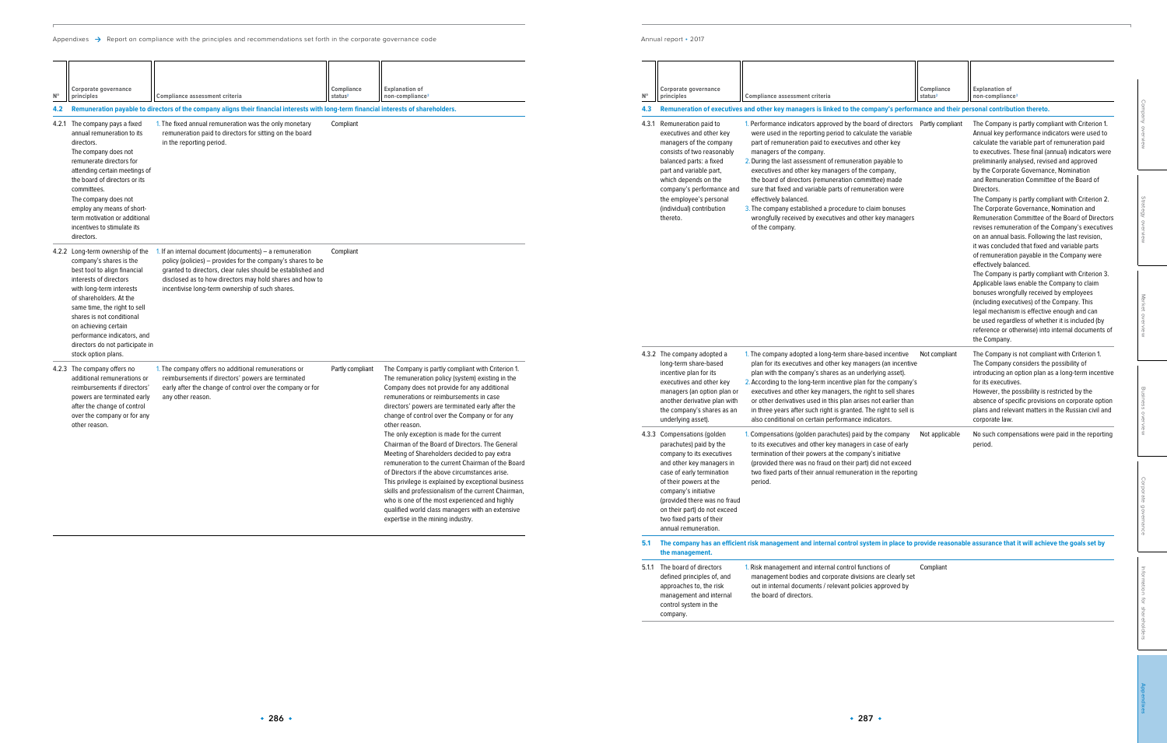## Annual report • 2017

[Information for shareholders](#page--1-0)

**[Appendixes](#page--1-0)**

control functions of orate divisions are clearly set evant policies approved by Compliant

| $\mathsf{N}^\circ$ | Corporate governance<br>principles                                                                                                                                                                                                                                                                                                                         | Compliance assessment criteria                                                                                                                                                                                                                                                                    | Compliance<br>status <sup>2</sup> | <b>Explanation of</b><br>non-compliance <sup>3</sup>                                                                                                                                                                                                                                                                                                                                                                                                                                                                                                                                                                                                                                                                                                    | $N^{\circ}$                                                                               | Corporate governance<br>principles                                                                                                                                                                                                                                                                                         | Compliance assessment criteria                                                                                                                                                                                                                                                                                                                                                                                                                                                                                                                                                                                                         | Compliance<br>status <sup>2</sup>                           | <b>Explanation of</b><br>non-compliance <sup>3</sup>                                                                                                                                                                                                                                                                                                                                                                                                                                                                                                                                                                               |
|--------------------|------------------------------------------------------------------------------------------------------------------------------------------------------------------------------------------------------------------------------------------------------------------------------------------------------------------------------------------------------------|---------------------------------------------------------------------------------------------------------------------------------------------------------------------------------------------------------------------------------------------------------------------------------------------------|-----------------------------------|---------------------------------------------------------------------------------------------------------------------------------------------------------------------------------------------------------------------------------------------------------------------------------------------------------------------------------------------------------------------------------------------------------------------------------------------------------------------------------------------------------------------------------------------------------------------------------------------------------------------------------------------------------------------------------------------------------------------------------------------------------|-------------------------------------------------------------------------------------------|----------------------------------------------------------------------------------------------------------------------------------------------------------------------------------------------------------------------------------------------------------------------------------------------------------------------------|----------------------------------------------------------------------------------------------------------------------------------------------------------------------------------------------------------------------------------------------------------------------------------------------------------------------------------------------------------------------------------------------------------------------------------------------------------------------------------------------------------------------------------------------------------------------------------------------------------------------------------------|-------------------------------------------------------------|------------------------------------------------------------------------------------------------------------------------------------------------------------------------------------------------------------------------------------------------------------------------------------------------------------------------------------------------------------------------------------------------------------------------------------------------------------------------------------------------------------------------------------------------------------------------------------------------------------------------------------|
|                    |                                                                                                                                                                                                                                                                                                                                                            | 4.2 Remuneration payable to directors of the company aligns their financial interests with long-term financial interests of shareholders.                                                                                                                                                         |                                   |                                                                                                                                                                                                                                                                                                                                                                                                                                                                                                                                                                                                                                                                                                                                                         |                                                                                           |                                                                                                                                                                                                                                                                                                                            | 4.3 Remuneration of executives and other key managers is linked to the company's performance and their personal contribution thereto.                                                                                                                                                                                                                                                                                                                                                                                                                                                                                                  |                                                             |                                                                                                                                                                                                                                                                                                                                                                                                                                                                                                                                                                                                                                    |
|                    | 4.2.1 The company pays a fixed<br>annual remuneration to its<br>directors.<br>The company does not<br>remunerate directors for<br>attending certain meetings of<br>the board of directors or its<br>committees.<br>The company does not<br>employ any means of short-<br>term motivation or additional<br>incentives to stimulate its<br>directors.        | 1. The fixed annual remuneration was the only monetary<br>remuneration paid to directors for sitting on the board<br>in the reporting period.                                                                                                                                                     | Compliant                         |                                                                                                                                                                                                                                                                                                                                                                                                                                                                                                                                                                                                                                                                                                                                                         |                                                                                           | 4.3.1 Remuneration paid to<br>executives and other key<br>managers of the company<br>consists of two reasonably<br>balanced parts: a fixed<br>part and variable part,<br>which depends on the<br>company's performance and<br>the employee's personal<br>(individual) contribution<br>thereto.                             | 1. Performance indicators approved by the board of directors Partly compliant<br>were used in the reporting period to calculate the variable<br>part of remuneration paid to executives and other key<br>managers of the company<br>2. During the last assessment of remuneration payable to<br>executives and other key managers of the company,<br>the board of directors (remuneration committee) made<br>sure that fixed and variable parts of remuneration were<br>effectively balanced.<br>3. The company established a procedure to claim bonuses<br>wrongfully received by executives and other key managers<br>of the company |                                                             | The Company is partly compliant with Criterion 1.<br>Annual key performance indicators were used to<br>calculate the variable part of remuneration paid<br>to executives. These final (annual) indicators were<br>preliminarily analysed, revised and approved<br>by the Corporate Governance, Nomination<br>and Remuneration Committee of the Board of<br>Directors.<br>The Company is partly compliant with Criterion 2.<br>The Corporate Governance, Nomination and<br>Remuneration Committee of the Board of Directors<br>revises remuneration of the Company's executives<br>on an annual basis. Following the last revision, |
|                    | 4.2.2 Long-term ownership of the<br>company's shares is the<br>best tool to align financial<br>interests of directors<br>with long-term interests<br>of shareholders. At the<br>same time, the right to sell<br>shares is not conditional<br>on achieving certain<br>performance indicators, and<br>directors do not participate in<br>stock option plans. | If an internal document (documents) – a remuneration<br>policy (policies) – provides for the company's shares to be<br>granted to directors, clear rules should be established and<br>disclosed as to how directors may hold shares and how to<br>incentivise long-term ownership of such shares. | Compliant                         |                                                                                                                                                                                                                                                                                                                                                                                                                                                                                                                                                                                                                                                                                                                                                         |                                                                                           | 4.3.2 The company adopted a                                                                                                                                                                                                                                                                                                | 1. The company adopted a long-term share-based incentive Not compliant                                                                                                                                                                                                                                                                                                                                                                                                                                                                                                                                                                 |                                                             | it was concluded that fixed and variable parts<br>of remuneration payable in the Company were<br>effectively balanced.<br>The Company is partly compliant with Criterion 3.<br>Applicable laws enable the Company to claim<br>bonuses wrongfully received by employees<br>(including executives) of the Company. This<br>legal mechanism is effective enough and can<br>be used regardless of whether it is included (by<br>reference or otherwise) into internal documents of<br>the Company.<br>The Company is not compliant with Criterion 1.                                                                                   |
|                    | 4.2.3 The company offers no<br>additional remunerations or<br>reimbursements if directors'<br>powers are terminated early<br>after the change of control<br>over the company or for any                                                                                                                                                                    | 1. The company offers no additional remunerations or<br>reimbursements if directors' powers are terminated<br>early after the change of control over the company or for<br>any other reason                                                                                                       | Partly compliant                  | The Company is partly compliant with Criterion 1.<br>The remuneration policy (system) existing in the<br>Company does not provide for any additional<br>remunerations or reimbursements in case<br>directors' powers are terminated early after the<br>change of control over the Company or for any                                                                                                                                                                                                                                                                                                                                                                                                                                                    |                                                                                           | long-term share-based<br>incentive plan for its<br>executives and other key<br>managers (an option plan or<br>another derivative plan with<br>the company's shares as an<br>underlying asset).                                                                                                                             | plan for its executives and other key managers (an incentive<br>plan with the company's shares as an underlying asset).<br>2. According to the long-term incentive plan for the company's<br>executives and other key managers, the right to sell shares<br>or other derivatives used in this plan arises not earlier than<br>in three years after such right is granted. The right to sell is<br>also conditional on certain performance indicators.                                                                                                                                                                                  |                                                             | The Company considers the possibility of<br>introducing an option plan as a long-term incentive<br>for its executives.<br>However, the possibility is restricted by the<br>absence of specific provisions on corporate option<br>plans and relevant matters in the Russian civil and<br>corporate law.                                                                                                                                                                                                                                                                                                                             |
|                    | other reason.                                                                                                                                                                                                                                                                                                                                              |                                                                                                                                                                                                                                                                                                   |                                   | other reason.<br>The only exception is made for the current<br>4.3.3 Compensations (golden<br>Chairman of the Board of Directors. The General<br>parachutes) paid by the<br>Meeting of Shareholders decided to pay extra<br>company to its executives<br>remuneration to the current Chairman of the Board<br>of Directors if the above circumstances arise.<br>case of early termination<br>This privilege is explained by exceptional business<br>of their powers at the<br>skills and professionalism of the current Chairman,<br>company's initiative<br>who is one of the most experienced and highly<br>qualified world class managers with an extensive<br>expertise in the mining industry.<br>two fixed parts of their<br>annual remuneration. | and other key managers in<br>(provided there was no fraud<br>on their part) do not exceed | I. Compensations (golden parachutes) paid by the company<br>to its executives and other key managers in case of early<br>termination of their powers at the company's initiative<br>(provided there was no fraud on their part) did not exceed<br>two fixed parts of their annual remuneration in the reporting<br>period. | Not applicable                                                                                                                                                                                                                                                                                                                                                                                                                                                                                                                                                                                                                         | No such compensations were paid in the reporting<br>period. |                                                                                                                                                                                                                                                                                                                                                                                                                                                                                                                                                                                                                                    |

|  |       | executives and other key<br>managers (an option plan or<br>another derivative plan with<br>the company's shares as an<br>underlying asset).                                                                                                                                                                   | <b>Z.</b> According to the long-term ince<br>executives and other key mana<br>or other derivatives used in this<br>in three years after such right is<br>also conditional on certain perfo     |
|--|-------|---------------------------------------------------------------------------------------------------------------------------------------------------------------------------------------------------------------------------------------------------------------------------------------------------------------|------------------------------------------------------------------------------------------------------------------------------------------------------------------------------------------------|
|  | 4.3.3 | Compensations (golden<br>parachutes) paid by the<br>company to its executives<br>and other key managers in<br>case of early termination<br>of their powers at the<br>company's initiative<br>(provided there was no fraud<br>on their part) do not exceed<br>two fixed parts of their<br>annual remuneration. | 1. Compensations (golden parachu<br>to its executives and other key r<br>termination of their powers at th<br>(provided there was no fraud on<br>two fixed parts of their annual re<br>period. |
|  | 5.1   | the management.                                                                                                                                                                                                                                                                                               | The company has an efficient risk management and internal of                                                                                                                                   |
|  | 5.1.1 | The board of directors<br>defined principles of, and<br>approaches to, the risk<br>management and internal<br>control system in the<br>company.                                                                                                                                                               | 1. Risk management and internal of<br>management bodies and corpor<br>out in internal documents / relev<br>the board of directors.                                                             |

## **5.1 The company has an efficient risk management and internal control system in place to provide reasonable assurance that it will achieve the goals set by**

| directors do not participate in                                                                                                                                                                          |                                                                                                                                                                                             |                  |                                                                                                                                                                                                                                                                                                                                                                                                                                                                                                                                                                                                                                                                                                                                                                                                                                       |                                                                                                                                        |
|----------------------------------------------------------------------------------------------------------------------------------------------------------------------------------------------------------|---------------------------------------------------------------------------------------------------------------------------------------------------------------------------------------------|------------------|---------------------------------------------------------------------------------------------------------------------------------------------------------------------------------------------------------------------------------------------------------------------------------------------------------------------------------------------------------------------------------------------------------------------------------------------------------------------------------------------------------------------------------------------------------------------------------------------------------------------------------------------------------------------------------------------------------------------------------------------------------------------------------------------------------------------------------------|----------------------------------------------------------------------------------------------------------------------------------------|
| stock option plans.                                                                                                                                                                                      |                                                                                                                                                                                             |                  |                                                                                                                                                                                                                                                                                                                                                                                                                                                                                                                                                                                                                                                                                                                                                                                                                                       | 4.3.2 The                                                                                                                              |
| 4.2.3 The company offers no<br>additional remunerations or<br>reimbursements if directors'<br>powers are terminated early<br>after the change of control<br>over the company or for any<br>other reason. | . The company offers no additional remunerations or<br>reimbursements if directors' powers are terminated<br>early after the change of control over the company or for<br>any other reason. | Partly compliant | The Company is partly compliant with Criterion 1.<br>The remuneration policy (system) existing in the<br>Company does not provide for any additional<br>remunerations or reimbursements in case<br>directors' powers are terminated early after the<br>change of control over the Company or for any<br>other reason.<br>The only exception is made for the current<br>Chairman of the Board of Directors. The General<br>Meeting of Shareholders decided to pay extra<br>remuneration to the current Chairman of the Board<br>of Directors if the above circumstances arise.<br>This privilege is explained by exceptional business<br>skills and professionalism of the current Chairman,<br>who is one of the most experienced and highly<br>qualified world class managers with an extensive<br>expertise in the mining industry. | long<br>ince<br>exed<br>man<br>anot<br>the o<br>und<br>4.3.3 Com<br>para<br>com<br>and<br>case<br>of th<br>com<br>(pro<br>on tl<br>two |
|                                                                                                                                                                                                          |                                                                                                                                                                                             |                  |                                                                                                                                                                                                                                                                                                                                                                                                                                                                                                                                                                                                                                                                                                                                                                                                                                       |                                                                                                                                        |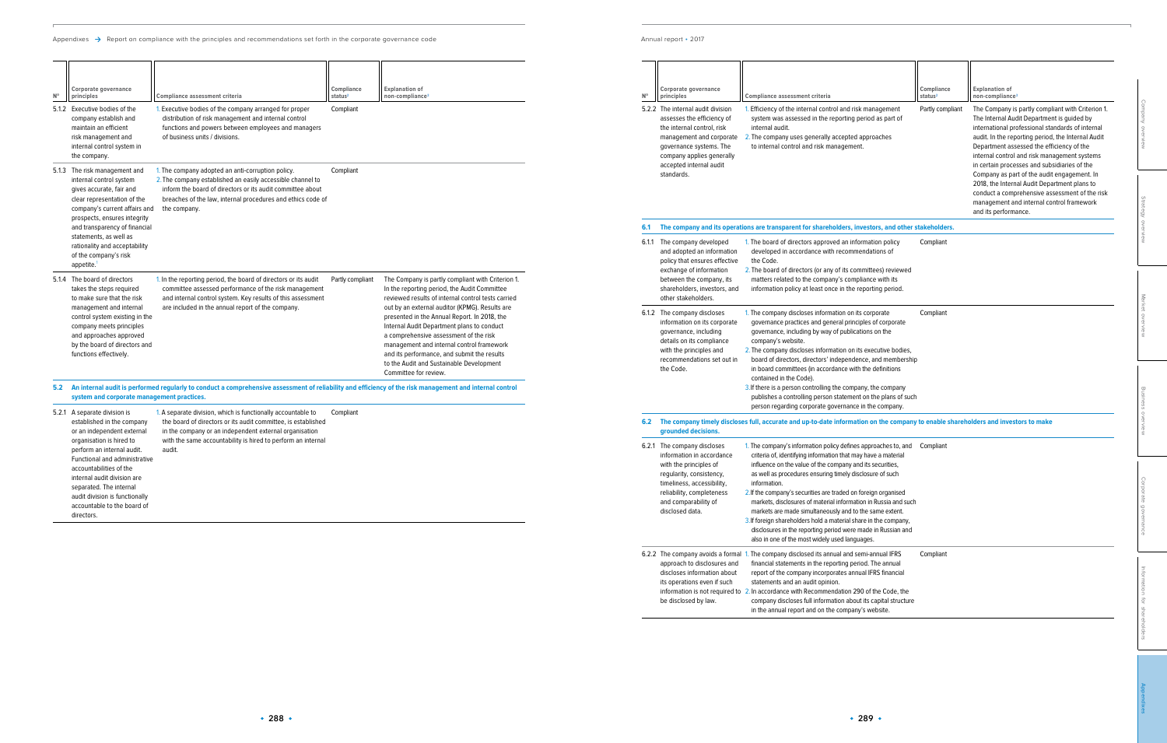| $N^{\circ}$ | Corporate governance<br>principles                                                                                                                                                                           | <b>Compliance assessment criteria</b>                                                                                                                                                                                                                                                                                                                                                                                                                                                                                       | Compliance<br>status <sup>2</sup> | <b>Explanation of</b><br>non-compliance <sup>3</sup>                                                                                                                                                                                                                                                                                                   |                              |
|-------------|--------------------------------------------------------------------------------------------------------------------------------------------------------------------------------------------------------------|-----------------------------------------------------------------------------------------------------------------------------------------------------------------------------------------------------------------------------------------------------------------------------------------------------------------------------------------------------------------------------------------------------------------------------------------------------------------------------------------------------------------------------|-----------------------------------|--------------------------------------------------------------------------------------------------------------------------------------------------------------------------------------------------------------------------------------------------------------------------------------------------------------------------------------------------------|------------------------------|
|             | 5.2.2 The internal audit division<br>assesses the efficiency of<br>the internal control, risk<br>management and corporate<br>governance systems. The<br>company applies generally<br>accepted internal audit | 1. Efficiency of the internal control and risk management<br>system was assessed in the reporting period as part of<br>internal audit.<br>2. The company uses generally accepted approaches<br>to internal control and risk management.                                                                                                                                                                                                                                                                                     | Partly compliant                  | The Company is partly compliant with Criterion 1.<br>The Internal Audit Department is guided by<br>international professional standards of internal<br>audit. In the reporting period, the Internal Audit<br>Department assessed the efficiency of the<br>internal control and risk management systems<br>in certain processes and subsidiaries of the | Company overview             |
|             | standards.                                                                                                                                                                                                   |                                                                                                                                                                                                                                                                                                                                                                                                                                                                                                                             |                                   | Company as part of the audit engagement. In<br>2018, the Internal Audit Department plans to<br>conduct a comprehensive assessment of the risk<br>management and internal control framework<br>and its performance.                                                                                                                                     | Strategy overview            |
| 6.1         |                                                                                                                                                                                                              | The company and its operations are transparent for shareholders, investors, and other stakeholders.                                                                                                                                                                                                                                                                                                                                                                                                                         |                                   |                                                                                                                                                                                                                                                                                                                                                        |                              |
|             | 6.1.1 The company developed<br>and adopted an information<br>policy that ensures effective<br>exchange of information                                                                                        | 1. The board of directors approved an information policy<br>developed in accordance with recommendations of<br>the Code.<br>2. The board of directors (or any of its committees) reviewed                                                                                                                                                                                                                                                                                                                                   | Compliant                         |                                                                                                                                                                                                                                                                                                                                                        |                              |
|             | between the company, its<br>shareholders, investors, and<br>other stakeholders.                                                                                                                              | matters related to the company's compliance with its<br>information policy at least once in the reporting period.                                                                                                                                                                                                                                                                                                                                                                                                           |                                   |                                                                                                                                                                                                                                                                                                                                                        |                              |
|             | 6.1.2 The company discloses<br>information on its corporate<br>governance, including<br>details on its compliance<br>with the principles and<br>recommendations set out in                                   | 1. The company discloses information on its corporate<br>governance practices and general principles of corporate<br>governance, including by way of publications on the<br>company's website.<br>2. The company discloses information on its executive bodies,<br>board of directors, directors' independence, and membership                                                                                                                                                                                              | Compliant                         |                                                                                                                                                                                                                                                                                                                                                        | Market overview              |
|             | the Code.                                                                                                                                                                                                    | in board committees (in accordance with the definitions<br>contained in the Code).<br>3. If there is a person controlling the company, the company<br>publishes a controlling person statement on the plans of such<br>person regarding corporate governance in the company.                                                                                                                                                                                                                                                |                                   |                                                                                                                                                                                                                                                                                                                                                        | Business overview            |
| 6.2         | grounded decisions.                                                                                                                                                                                          | The company timely discloses full, accurate and up-to-date information on the company to enable shareholders and investors to make                                                                                                                                                                                                                                                                                                                                                                                          |                                   |                                                                                                                                                                                                                                                                                                                                                        |                              |
|             | 6.2.1 The company discloses<br>information in accordance                                                                                                                                                     | 1. The company's information policy defines approaches to, and<br>criteria of, identifying information that may have a material                                                                                                                                                                                                                                                                                                                                                                                             | Compliant                         |                                                                                                                                                                                                                                                                                                                                                        |                              |
|             | with the principles of<br>regularity, consistency,<br>timeliness, accessibility,<br>reliability, completeness<br>and comparability of<br>disclosed data.                                                     | influence on the value of the company and its securities,<br>as well as procedures ensuring timely disclosure of such<br>information.<br>2. If the company's securities are traded on foreign organised<br>markets, disclosures of material information in Russia and such<br>markets are made simultaneously and to the same extent.<br>3. If foreign shareholders hold a material share in the company,<br>disclosures in the reporting period were made in Russian and<br>also in one of the most widely used languages. |                                   |                                                                                                                                                                                                                                                                                                                                                        | Corporate governance         |
|             | approach to disclosures and<br>discloses information about<br>its operations even if such<br>be disclosed by law.                                                                                            | 6.2.2 The company avoids a formal 1. The company disclosed its annual and semi-annual IFRS<br>financial statements in the reporting period. The annual<br>report of the company incorporates annual IFRS financial<br>statements and an audit opinion.<br>information is not required to 2. In accordance with Recommendation 290 of the Code, the<br>company discloses full information about its capital structure                                                                                                        | Compliant                         |                                                                                                                                                                                                                                                                                                                                                        | Information for shareholders |

Appendixes  $\rightarrow$  Report on compliance with the principles and recommendations set forth in the corporate governance code

| $N^{\circ}$ | Corporate governance<br>principles<br>5.1.2 Executive bodies of the<br>company establish and<br>maintain an efficient<br>risk management and<br>internal control system in<br>the company.                                                                                                                                                              | Compliance assessment criteria<br>1. Executive bodies of the company arranged for proper<br>distribution of risk management and internal control<br>functions and powers between employees and managers<br>of business units / divisions.                         | Compliance<br>status <sup>2</sup><br>Compliant | <b>Explanation of</b><br>non-compliance <sup>3</sup>                                                                                                                                                                                                                                                                                                                                                                                                                                                               | $5.2.2$ Th             |
|-------------|---------------------------------------------------------------------------------------------------------------------------------------------------------------------------------------------------------------------------------------------------------------------------------------------------------------------------------------------------------|-------------------------------------------------------------------------------------------------------------------------------------------------------------------------------------------------------------------------------------------------------------------|------------------------------------------------|--------------------------------------------------------------------------------------------------------------------------------------------------------------------------------------------------------------------------------------------------------------------------------------------------------------------------------------------------------------------------------------------------------------------------------------------------------------------------------------------------------------------|------------------------|
|             | 5.1.3 The risk management and<br>internal control system<br>gives accurate, fair and<br>clear representation of the<br>company's current affairs and<br>prospects, ensures integrity<br>and transparency of financial<br>statements, as well as<br>rationality and acceptability<br>of the company's risk<br>appetite. <sup>1</sup>                     | 1. The company adopted an anti-corruption policy.<br>2. The company established an easily accessible channel to<br>inform the board of directors or its audit committee about<br>breaches of the law, internal procedures and ethics code of<br>the company.      | Compliant                                      |                                                                                                                                                                                                                                                                                                                                                                                                                                                                                                                    | $6.1$ Ti<br>6.1.1 Th   |
|             | 5.1.4 The board of directors<br>takes the steps required<br>to make sure that the risk<br>management and internal<br>control system existing in the<br>company meets principles<br>and approaches approved<br>by the board of directors and<br>functions effectively.                                                                                   | 1. In the reporting period, the board of directors or its audit<br>committee assessed performance of the risk management<br>and internal control system. Key results of this assessment<br>are included in the annual report of the company.                      | Partly compliant                               | The Company is partly compliant with Criterion 1.<br>In the reporting period, the Audit Committee<br>reviewed results of internal control tests carried<br>out by an external auditor (KPMG). Results are<br>presented in the Annual Report. In 2018, the<br>Internal Audit Department plans to conduct<br>a comprehensive assessment of the risk<br>management and internal control framework<br>and its performance, and submit the results<br>to the Audit and Sustainable Development<br>Committee for review. | $6.1.2$ Th             |
|             | system and corporate management practices.                                                                                                                                                                                                                                                                                                              | 5.2 An internal audit is performed regularly to conduct a comprehensive assessment of reliability and efficiency of the risk management and internal control                                                                                                      |                                                |                                                                                                                                                                                                                                                                                                                                                                                                                                                                                                                    |                        |
|             | 5.2.1 A separate division is<br>established in the company<br>or an independent external<br>organisation is hired to<br>perform an internal audit.<br>Functional and administrative<br>accountabilities of the<br>internal audit division are<br>separated. The internal<br>audit division is functionally<br>accountable to the board of<br>directors. | 1. A separate division, which is functionally accountable to<br>the board of directors or its audit committee, is established<br>in the company or an independent external organisation<br>with the same accountability is hired to perform an internal<br>audit. | Compliant                                      |                                                                                                                                                                                                                                                                                                                                                                                                                                                                                                                    | $6.2$ TI<br>$6.2.1$ Th |